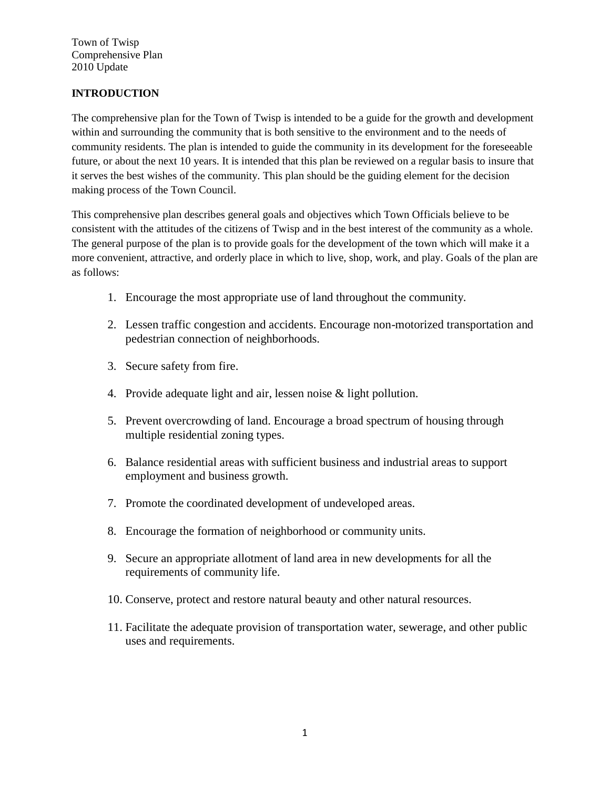# **INTRODUCTION**

The comprehensive plan for the Town of Twisp is intended to be a guide for the growth and development within and surrounding the community that is both sensitive to the environment and to the needs of community residents. The plan is intended to guide the community in its development for the foreseeable future, or about the next 10 years. It is intended that this plan be reviewed on a regular basis to insure that it serves the best wishes of the community. This plan should be the guiding element for the decision making process of the Town Council.

This comprehensive plan describes general goals and objectives which Town Officials believe to be consistent with the attitudes of the citizens of Twisp and in the best interest of the community as a whole. The general purpose of the plan is to provide goals for the development of the town which will make it a more convenient, attractive, and orderly place in which to live, shop, work, and play. Goals of the plan are as follows:

- 1. Encourage the most appropriate use of land throughout the community.
- 2. Lessen traffic congestion and accidents. Encourage non-motorized transportation and pedestrian connection of neighborhoods.
- 3. Secure safety from fire.
- 4. Provide adequate light and air, lessen noise & light pollution.
- 5. Prevent overcrowding of land. Encourage a broad spectrum of housing through multiple residential zoning types.
- 6. Balance residential areas with sufficient business and industrial areas to support employment and business growth.
- 7. Promote the coordinated development of undeveloped areas.
- 8. Encourage the formation of neighborhood or community units.
- 9. Secure an appropriate allotment of land area in new developments for all the requirements of community life.
- 10. Conserve, protect and restore natural beauty and other natural resources.
- 11. Facilitate the adequate provision of transportation water, sewerage, and other public uses and requirements.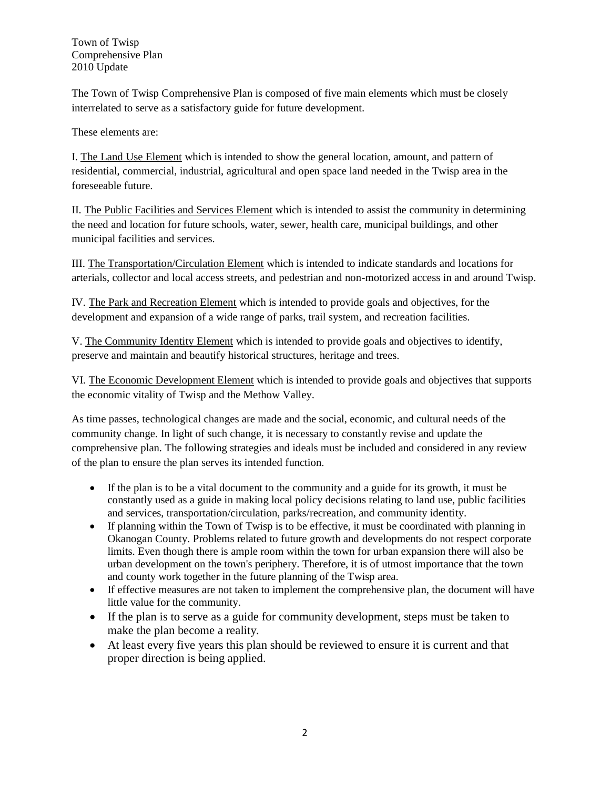The Town of Twisp Comprehensive Plan is composed of five main elements which must be closely interrelated to serve as a satisfactory guide for future development.

These elements are:

I. The Land Use Element which is intended to show the general location, amount, and pattern of residential, commercial, industrial, agricultural and open space land needed in the Twisp area in the foreseeable future.

II. The Public Facilities and Services Element which is intended to assist the community in determining the need and location for future schools, water, sewer, health care, municipal buildings, and other municipal facilities and services.

III. The Transportation/Circulation Element which is intended to indicate standards and locations for arterials, collector and local access streets, and pedestrian and non-motorized access in and around Twisp.

IV. The Park and Recreation Element which is intended to provide goals and objectives, for the development and expansion of a wide range of parks, trail system, and recreation facilities.

V. The Community Identity Element which is intended to provide goals and objectives to identify, preserve and maintain and beautify historical structures, heritage and trees.

VI. The Economic Development Element which is intended to provide goals and objectives that supports the economic vitality of Twisp and the Methow Valley.

As time passes, technological changes are made and the social, economic, and cultural needs of the community change. In light of such change, it is necessary to constantly revise and update the comprehensive plan. The following strategies and ideals must be included and considered in any review of the plan to ensure the plan serves its intended function.

- If the plan is to be a vital document to the community and a guide for its growth, it must be constantly used as a guide in making local policy decisions relating to land use, public facilities and services, transportation/circulation, parks/recreation, and community identity.
- If planning within the Town of Twisp is to be effective, it must be coordinated with planning in Okanogan County. Problems related to future growth and developments do not respect corporate limits. Even though there is ample room within the town for urban expansion there will also be urban development on the town's periphery. Therefore, it is of utmost importance that the town and county work together in the future planning of the Twisp area.
- If effective measures are not taken to implement the comprehensive plan, the document will have little value for the community.
- If the plan is to serve as a guide for community development, steps must be taken to make the plan become a reality.
- At least every five years this plan should be reviewed to ensure it is current and that proper direction is being applied.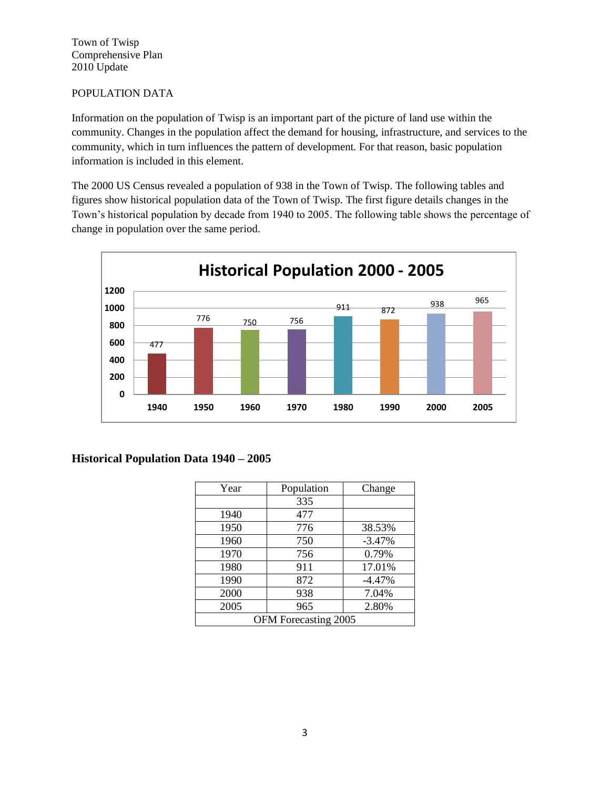## POPULATION DATA

Information on the population of Twisp is an important part of the picture of land use within the community. Changes in the population affect the demand for housing, infrastructure, and services to the community, which in turn influences the pattern of development. For that reason, basic population information is included in this element.

The 2000 US Census revealed a population of 938 in the Town of Twisp. The following tables and figures show historical population data of the Town of Twisp. The first figure details changes in the Town's historical population by decade from 1940 to 2005. The following table shows the percentage of change in population over the same period.



## **Historical Population Data 1940 – 2005**

| Year                 | Population | Change   |  |  |
|----------------------|------------|----------|--|--|
|                      | 335        |          |  |  |
| 1940                 | 477        |          |  |  |
| 1950                 | 776        | 38.53%   |  |  |
| 1960                 | 750        | $-3.47%$ |  |  |
| 1970                 | 756        | 0.79%    |  |  |
| 1980                 | 911        | 17.01%   |  |  |
| 1990                 | 872        | $-4.47%$ |  |  |
| 2000                 | 938        | 7.04%    |  |  |
| 2005                 | 965        | 2.80%    |  |  |
| OFM Forecasting 2005 |            |          |  |  |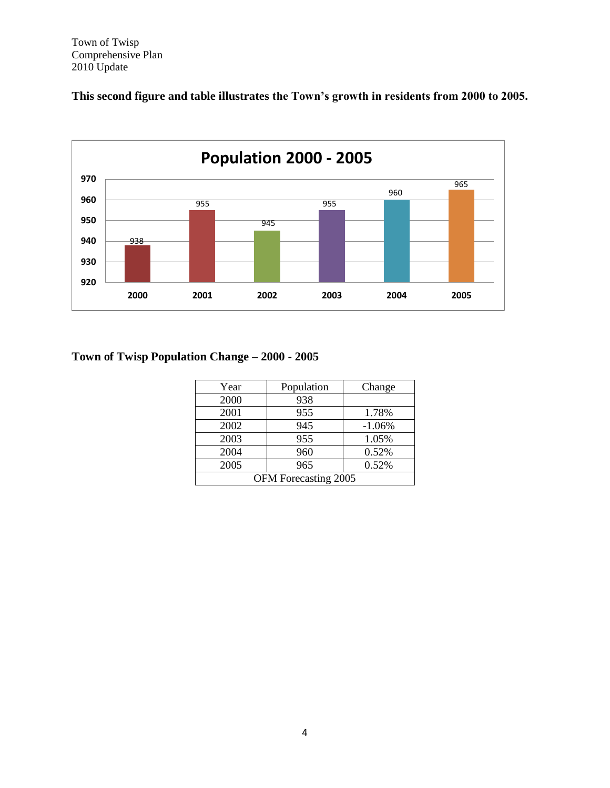**This second figure and table illustrates the Town's growth in residents from 2000 to 2005.**



# **Town of Twisp Population Change – 2000 - 2005**

| Year                 | Population | Change   |  |  |
|----------------------|------------|----------|--|--|
| 2000                 | 938        |          |  |  |
| 2001                 | 955        | 1.78%    |  |  |
| 2002                 | 945        | $-1.06%$ |  |  |
| 2003                 | 955        | 1.05%    |  |  |
| 2004                 | 960        | 0.52%    |  |  |
| 2005                 | 965        | 0.52%    |  |  |
| OFM Forecasting 2005 |            |          |  |  |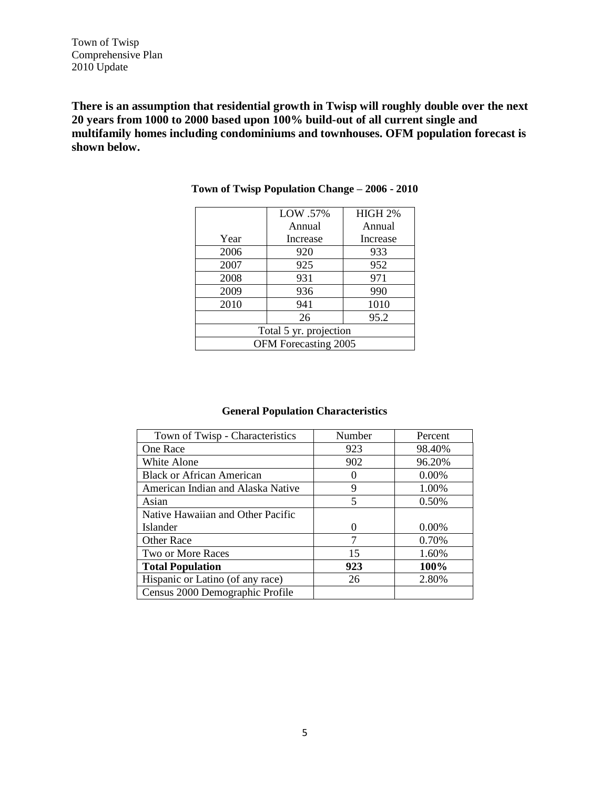**There is an assumption that residential growth in Twisp will roughly double over the next 20 years from 1000 to 2000 based upon 100% build-out of all current single and multifamily homes including condominiums and townhouses. OFM population forecast is shown below.**

|                        | LOW .57% | <b>HIGH 2%</b> |  |  |
|------------------------|----------|----------------|--|--|
|                        | Annual   | Annual         |  |  |
| Year                   | Increase | Increase       |  |  |
| 2006                   | 920      | 933            |  |  |
| 2007                   | 925      | 952            |  |  |
| 2008                   | 931      | 971            |  |  |
| 2009                   | 936      | 990            |  |  |
| 2010                   | 941      | 1010           |  |  |
|                        | 26       | 95.2           |  |  |
| Total 5 yr. projection |          |                |  |  |
| OFM Forecasting 2005   |          |                |  |  |

**Town of Twisp Population Change – 2006 - 2010**

# **General Population Characteristics**

| Town of Twisp - Characteristics   | Number   | Percent  |
|-----------------------------------|----------|----------|
| One Race                          | 923      | 98.40%   |
| White Alone                       | 902      | 96.20%   |
| <b>Black or African American</b>  | 0        | $0.00\%$ |
| American Indian and Alaska Native | 9        | 1.00%    |
| Asian                             | 5        | 0.50%    |
| Native Hawaiian and Other Pacific |          |          |
| Islander                          | $\Omega$ | $0.00\%$ |
| Other Race                        | 7        | 0.70%    |
| Two or More Races                 | 15       | 1.60%    |
| <b>Total Population</b>           | 923      | 100%     |
| Hispanic or Latino (of any race)  | 26       | 2.80%    |
| Census 2000 Demographic Profile   |          |          |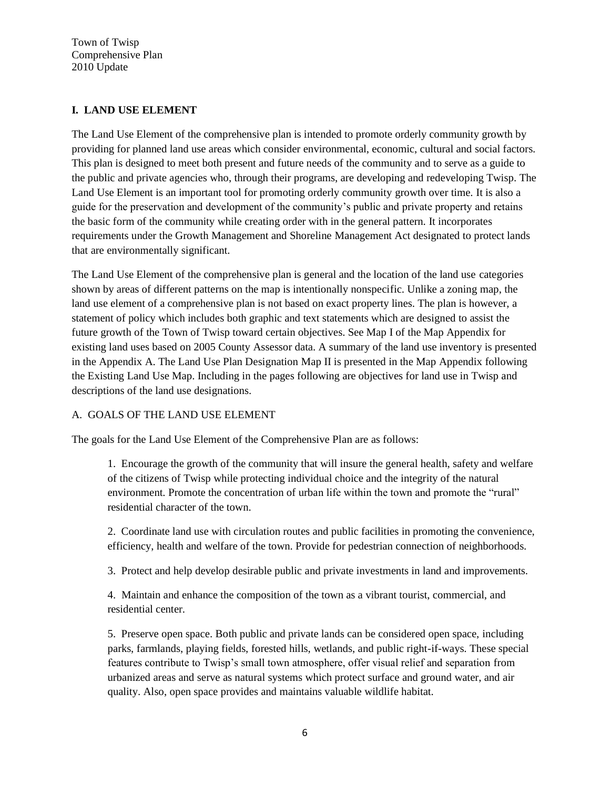## **I. LAND USE ELEMENT**

The Land Use Element of the comprehensive plan is intended to promote orderly community growth by providing for planned land use areas which consider environmental, economic, cultural and social factors. This plan is designed to meet both present and future needs of the community and to serve as a guide to the public and private agencies who, through their programs, are developing and redeveloping Twisp. The Land Use Element is an important tool for promoting orderly community growth over time. It is also a guide for the preservation and development of the community's public and private property and retains the basic form of the community while creating order with in the general pattern. It incorporates requirements under the Growth Management and Shoreline Management Act designated to protect lands that are environmentally significant.

The Land Use Element of the comprehensive plan is general and the location of the land use categories shown by areas of different patterns on the map is intentionally nonspecific. Unlike a zoning map, the land use element of a comprehensive plan is not based on exact property lines. The plan is however, a statement of policy which includes both graphic and text statements which are designed to assist the future growth of the Town of Twisp toward certain objectives. See Map I of the Map Appendix for existing land uses based on 2005 County Assessor data. A summary of the land use inventory is presented in the Appendix A. The Land Use Plan Designation Map II is presented in the Map Appendix following the Existing Land Use Map. Including in the pages following are objectives for land use in Twisp and descriptions of the land use designations.

## A. GOALS OF THE LAND USE ELEMENT

The goals for the Land Use Element of the Comprehensive Plan are as follows:

1. Encourage the growth of the community that will insure the general health, safety and welfare of the citizens of Twisp while protecting individual choice and the integrity of the natural environment. Promote the concentration of urban life within the town and promote the "rural" residential character of the town.

2. Coordinate land use with circulation routes and public facilities in promoting the convenience, efficiency, health and welfare of the town. Provide for pedestrian connection of neighborhoods.

3. Protect and help develop desirable public and private investments in land and improvements.

4. Maintain and enhance the composition of the town as a vibrant tourist, commercial, and residential center.

5. Preserve open space. Both public and private lands can be considered open space, including parks, farmlands, playing fields, forested hills, wetlands, and public right-if-ways. These special features contribute to Twisp's small town atmosphere, offer visual relief and separation from urbanized areas and serve as natural systems which protect surface and ground water, and air quality. Also, open space provides and maintains valuable wildlife habitat.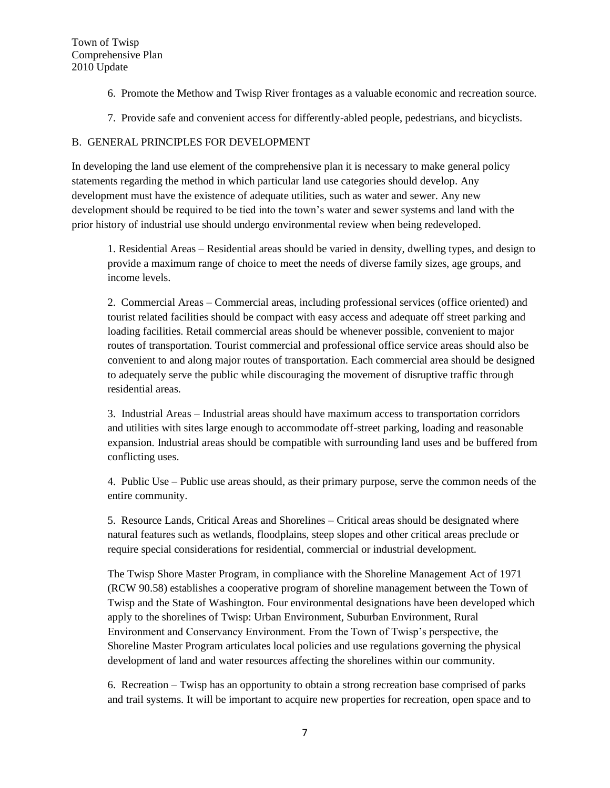- 6. Promote the Methow and Twisp River frontages as a valuable economic and recreation source.
- 7. Provide safe and convenient access for differently-abled people, pedestrians, and bicyclists.

## B. GENERAL PRINCIPLES FOR DEVELOPMENT

In developing the land use element of the comprehensive plan it is necessary to make general policy statements regarding the method in which particular land use categories should develop. Any development must have the existence of adequate utilities, such as water and sewer. Any new development should be required to be tied into the town's water and sewer systems and land with the prior history of industrial use should undergo environmental review when being redeveloped.

1. Residential Areas – Residential areas should be varied in density, dwelling types, and design to provide a maximum range of choice to meet the needs of diverse family sizes, age groups, and income levels.

2. Commercial Areas – Commercial areas, including professional services (office oriented) and tourist related facilities should be compact with easy access and adequate off street parking and loading facilities. Retail commercial areas should be whenever possible, convenient to major routes of transportation. Tourist commercial and professional office service areas should also be convenient to and along major routes of transportation. Each commercial area should be designed to adequately serve the public while discouraging the movement of disruptive traffic through residential areas.

3. Industrial Areas – Industrial areas should have maximum access to transportation corridors and utilities with sites large enough to accommodate off-street parking, loading and reasonable expansion. Industrial areas should be compatible with surrounding land uses and be buffered from conflicting uses.

4. Public Use – Public use areas should, as their primary purpose, serve the common needs of the entire community.

5. Resource Lands, Critical Areas and Shorelines – Critical areas should be designated where natural features such as wetlands, floodplains, steep slopes and other critical areas preclude or require special considerations for residential, commercial or industrial development.

The Twisp Shore Master Program, in compliance with the Shoreline Management Act of 1971 (RCW 90.58) establishes a cooperative program of shoreline management between the Town of Twisp and the State of Washington. Four environmental designations have been developed which apply to the shorelines of Twisp: Urban Environment, Suburban Environment, Rural Environment and Conservancy Environment. From the Town of Twisp's perspective, the Shoreline Master Program articulates local policies and use regulations governing the physical development of land and water resources affecting the shorelines within our community.

6. Recreation – Twisp has an opportunity to obtain a strong recreation base comprised of parks and trail systems. It will be important to acquire new properties for recreation, open space and to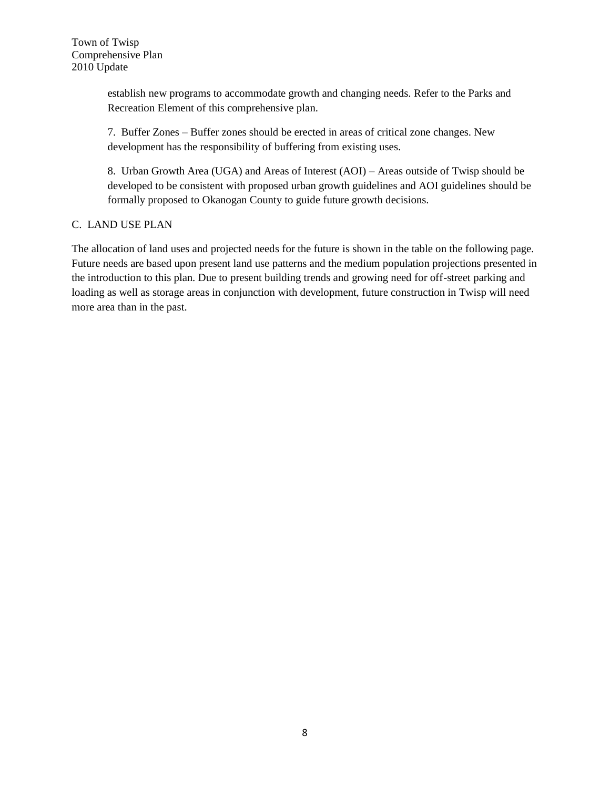establish new programs to accommodate growth and changing needs. Refer to the Parks and Recreation Element of this comprehensive plan.

7. Buffer Zones – Buffer zones should be erected in areas of critical zone changes. New development has the responsibility of buffering from existing uses.

8. Urban Growth Area (UGA) and Areas of Interest (AOI) – Areas outside of Twisp should be developed to be consistent with proposed urban growth guidelines and AOI guidelines should be formally proposed to Okanogan County to guide future growth decisions.

## C. LAND USE PLAN

The allocation of land uses and projected needs for the future is shown in the table on the following page. Future needs are based upon present land use patterns and the medium population projections presented in the introduction to this plan. Due to present building trends and growing need for off-street parking and loading as well as storage areas in conjunction with development, future construction in Twisp will need more area than in the past.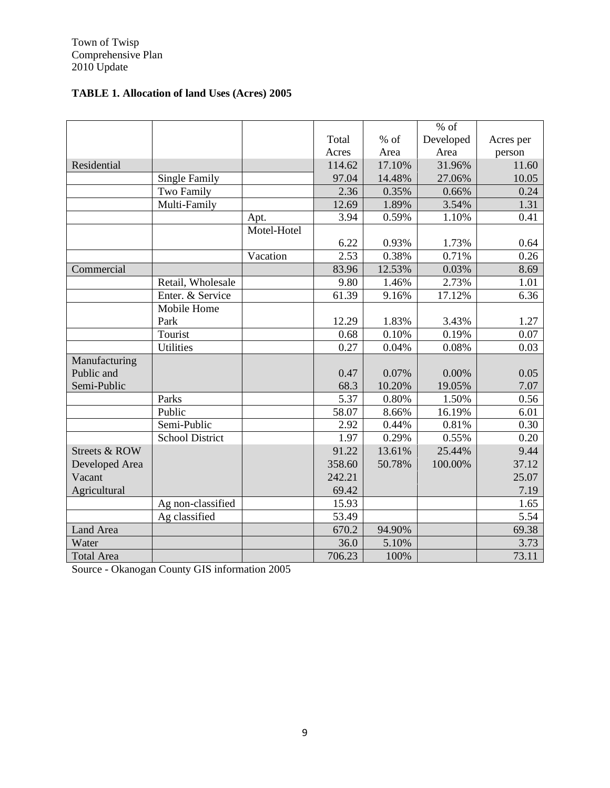# **TABLE 1. Allocation of land Uses (Acres) 2005**

|                   |                        |             |        |        | $%$ of    |           |
|-------------------|------------------------|-------------|--------|--------|-----------|-----------|
|                   |                        |             | Total  | % of   | Developed | Acres per |
|                   |                        |             | Acres  | Area   | Area      | person    |
| Residential       |                        |             | 114.62 | 17.10% | 31.96%    | 11.60     |
|                   | <b>Single Family</b>   |             | 97.04  | 14.48% | 27.06%    | 10.05     |
|                   | Two Family             |             | 2.36   | 0.35%  | 0.66%     | 0.24      |
|                   | Multi-Family           |             | 12.69  | 1.89%  | 3.54%     | 1.31      |
|                   |                        | Apt.        | 3.94   | 0.59%  | 1.10%     | 0.41      |
|                   |                        | Motel-Hotel |        |        |           |           |
|                   |                        |             | 6.22   | 0.93%  | 1.73%     | 0.64      |
|                   |                        | Vacation    | 2.53   | 0.38%  | 0.71%     | 0.26      |
| Commercial        |                        |             | 83.96  | 12.53% | 0.03%     | 8.69      |
|                   | Retail, Wholesale      |             | 9.80   | 1.46%  | 2.73%     | 1.01      |
|                   | Enter. & Service       |             | 61.39  | 9.16%  | 17.12%    | 6.36      |
|                   | Mobile Home            |             |        |        |           |           |
|                   | Park                   |             | 12.29  | 1.83%  | 3.43%     | 1.27      |
|                   | Tourist                |             | 0.68   | 0.10%  | 0.19%     | 0.07      |
|                   | <b>Utilities</b>       |             | 0.27   | 0.04%  | 0.08%     | 0.03      |
| Manufacturing     |                        |             |        |        |           |           |
| Public and        |                        |             | 0.47   | 0.07%  | 0.00%     | 0.05      |
| Semi-Public       |                        |             | 68.3   | 10.20% | 19.05%    | 7.07      |
|                   | Parks                  |             | 5.37   | 0.80%  | 1.50%     | 0.56      |
|                   | Public                 |             | 58.07  | 8.66%  | 16.19%    | 6.01      |
|                   | Semi-Public            |             | 2.92   | 0.44%  | 0.81%     | 0.30      |
|                   | <b>School District</b> |             | 1.97   | 0.29%  | 0.55%     | 0.20      |
| Streets & ROW     |                        |             | 91.22  | 13.61% | 25.44%    | 9.44      |
| Developed Area    |                        |             | 358.60 | 50.78% | 100.00%   | 37.12     |
| Vacant            |                        |             | 242.21 |        |           | 25.07     |
| Agricultural      |                        |             | 69.42  |        |           | 7.19      |
|                   | Ag non-classified      |             | 15.93  |        |           | 1.65      |
|                   | Ag classified          |             | 53.49  |        |           | 5.54      |
| Land Area         |                        |             | 670.2  | 94.90% |           | 69.38     |
| Water             |                        |             | 36.0   | 5.10%  |           | 3.73      |
| <b>Total Area</b> |                        |             | 706.23 | 100%   |           | 73.11     |

Source - Okanogan County GIS information 2005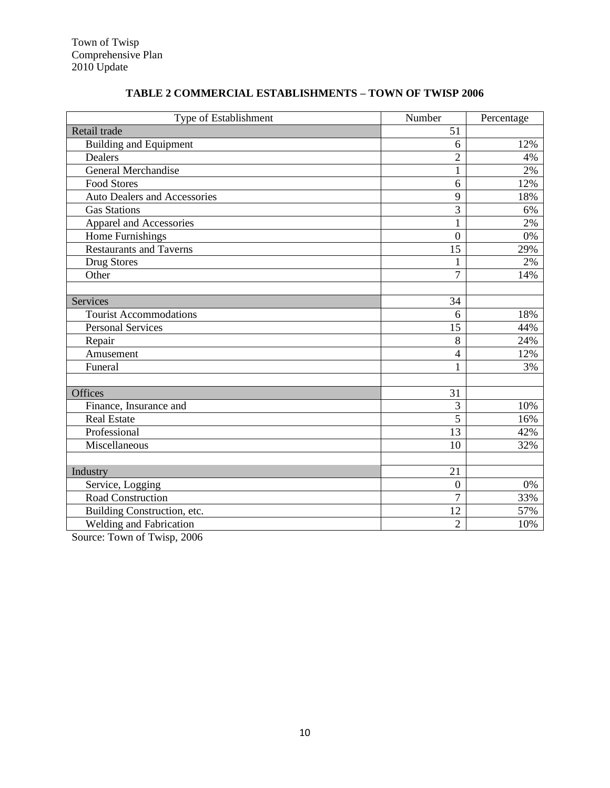| Type of Establishment               | Number                   | Percentage |
|-------------------------------------|--------------------------|------------|
| Retail trade                        | 51                       |            |
| <b>Building and Equipment</b>       | 6                        | 12%        |
| Dealers                             | $\overline{2}$           | 4%         |
| <b>General Merchandise</b>          | $\mathbf{1}$             | 2%         |
| <b>Food Stores</b>                  | 6                        | 12%        |
| <b>Auto Dealers and Accessories</b> | 9                        | 18%        |
| <b>Gas Stations</b>                 | $\overline{3}$           | 6%         |
| Apparel and Accessories             | $\mathbf{1}$             | 2%         |
| Home Furnishings                    | $\overline{0}$           | 0%         |
| <b>Restaurants and Taverns</b>      | 15                       | 29%        |
| Drug Stores                         | 1                        | 2%         |
| Other                               | $\overline{7}$           | 14%        |
|                                     |                          |            |
| <b>Services</b>                     | 34                       |            |
| <b>Tourist Accommodations</b>       | 6                        | 18%        |
| <b>Personal Services</b>            | 15                       | 44%        |
| Repair                              | 8                        | 24%        |
| Amusement                           | $\overline{\mathcal{L}}$ | 12%        |
| Funeral                             | 1                        | 3%         |
|                                     |                          |            |
| <b>Offices</b>                      | 31                       |            |
| Finance, Insurance and              | $\overline{3}$           | 10%        |
| <b>Real Estate</b>                  | $\overline{5}$           | 16%        |
| Professional                        | $\overline{13}$          | 42%        |
| Miscellaneous                       | 10                       | 32%        |
|                                     |                          |            |
| Industry                            | $\overline{21}$          |            |
| Service, Logging                    | $\boldsymbol{0}$         | 0%         |
| Road Construction                   | $\overline{7}$           | 33%        |
| Building Construction, etc.         | 12                       | 57%        |
| Welding and Fabrication             | $\overline{2}$           | 10%        |

# **TABLE 2 COMMERCIAL ESTABLISHMENTS – TOWN OF TWISP 2006**

Source: Town of Twisp, 2006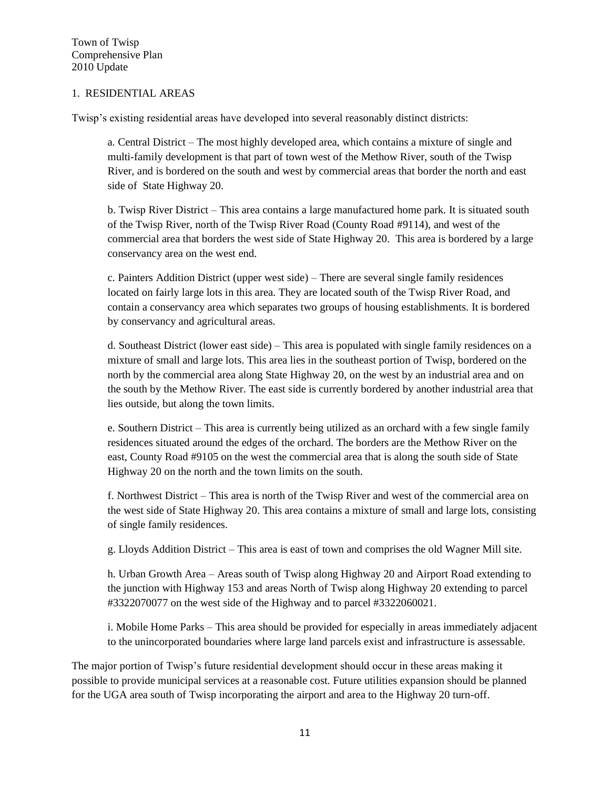## 1. RESIDENTIAL AREAS

Twisp's existing residential areas have developed into several reasonably distinct districts:

a. Central District – The most highly developed area, which contains a mixture of single and multi-family development is that part of town west of the Methow River, south of the Twisp River, and is bordered on the south and west by commercial areas that border the north and east side of State Highway 20.

b. Twisp River District – This area contains a large manufactured home park. It is situated south of the Twisp River, north of the Twisp River Road (County Road #9114), and west of the commercial area that borders the west side of State Highway 20. This area is bordered by a large conservancy area on the west end.

c. Painters Addition District (upper west side) – There are several single family residences located on fairly large lots in this area. They are located south of the Twisp River Road, and contain a conservancy area which separates two groups of housing establishments. It is bordered by conservancy and agricultural areas.

d. Southeast District (lower east side) – This area is populated with single family residences on a mixture of small and large lots. This area lies in the southeast portion of Twisp, bordered on the north by the commercial area along State Highway 20, on the west by an industrial area and on the south by the Methow River. The east side is currently bordered by another industrial area that lies outside, but along the town limits.

e. Southern District – This area is currently being utilized as an orchard with a few single family residences situated around the edges of the orchard. The borders are the Methow River on the east, County Road #9105 on the west the commercial area that is along the south side of State Highway 20 on the north and the town limits on the south.

f. Northwest District – This area is north of the Twisp River and west of the commercial area on the west side of State Highway 20. This area contains a mixture of small and large lots, consisting of single family residences.

g. Lloyds Addition District – This area is east of town and comprises the old Wagner Mill site.

h. Urban Growth Area – Areas south of Twisp along Highway 20 and Airport Road extending to the junction with Highway 153 and areas North of Twisp along Highway 20 extending to parcel #3322070077 on the west side of the Highway and to parcel #3322060021.

i. Mobile Home Parks – This area should be provided for especially in areas immediately adjacent to the unincorporated boundaries where large land parcels exist and infrastructure is assessable.

The major portion of Twisp's future residential development should occur in these areas making it possible to provide municipal services at a reasonable cost. Future utilities expansion should be planned for the UGA area south of Twisp incorporating the airport and area to the Highway 20 turn-off.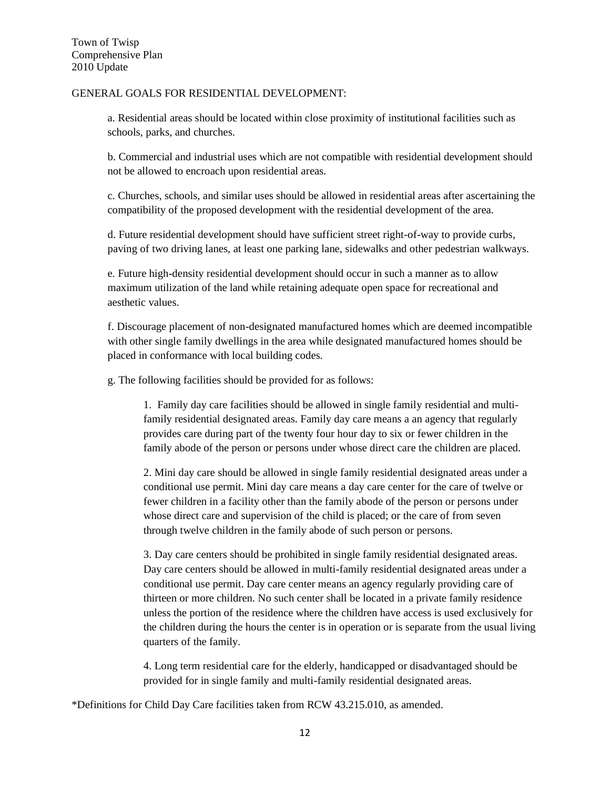#### GENERAL GOALS FOR RESIDENTIAL DEVELOPMENT:

a. Residential areas should be located within close proximity of institutional facilities such as schools, parks, and churches.

b. Commercial and industrial uses which are not compatible with residential development should not be allowed to encroach upon residential areas.

c. Churches, schools, and similar uses should be allowed in residential areas after ascertaining the compatibility of the proposed development with the residential development of the area.

d. Future residential development should have sufficient street right-of-way to provide curbs, paving of two driving lanes, at least one parking lane, sidewalks and other pedestrian walkways.

e. Future high-density residential development should occur in such a manner as to allow maximum utilization of the land while retaining adequate open space for recreational and aesthetic values.

f. Discourage placement of non-designated manufactured homes which are deemed incompatible with other single family dwellings in the area while designated manufactured homes should be placed in conformance with local building codes.

g. The following facilities should be provided for as follows:

1. Family day care facilities should be allowed in single family residential and multifamily residential designated areas. Family day care means a an agency that regularly provides care during part of the twenty four hour day to six or fewer children in the family abode of the person or persons under whose direct care the children are placed.

2. Mini day care should be allowed in single family residential designated areas under a conditional use permit. Mini day care means a day care center for the care of twelve or fewer children in a facility other than the family abode of the person or persons under whose direct care and supervision of the child is placed; or the care of from seven through twelve children in the family abode of such person or persons.

3. Day care centers should be prohibited in single family residential designated areas. Day care centers should be allowed in multi-family residential designated areas under a conditional use permit. Day care center means an agency regularly providing care of thirteen or more children. No such center shall be located in a private family residence unless the portion of the residence where the children have access is used exclusively for the children during the hours the center is in operation or is separate from the usual living quarters of the family.

4. Long term residential care for the elderly, handicapped or disadvantaged should be provided for in single family and multi-family residential designated areas.

\*Definitions for Child Day Care facilities taken from RCW 43.215.010, as amended.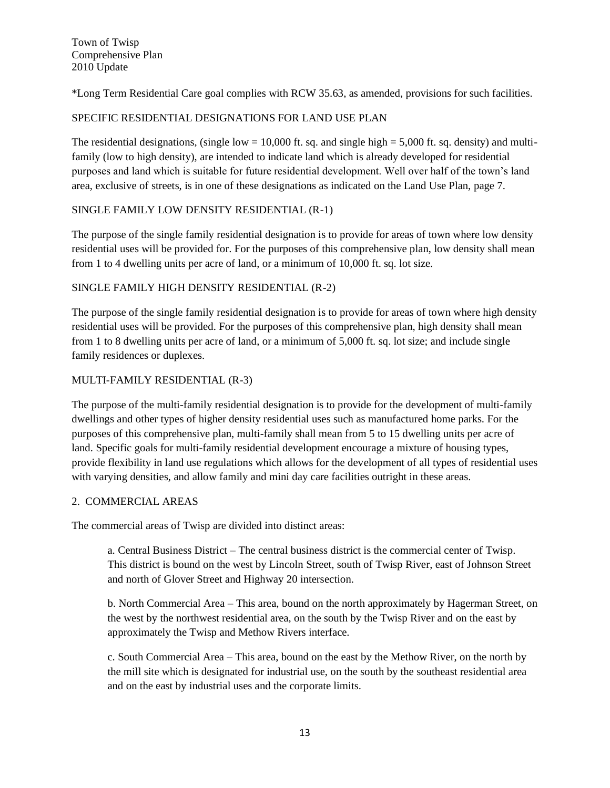\*Long Term Residential Care goal complies with RCW 35.63, as amended, provisions for such facilities.

## SPECIFIC RESIDENTIAL DESIGNATIONS FOR LAND USE PLAN

The residential designations, (single low = 10,000 ft. sq. and single high = 5,000 ft. sq. density) and multifamily (low to high density), are intended to indicate land which is already developed for residential purposes and land which is suitable for future residential development. Well over half of the town's land area, exclusive of streets, is in one of these designations as indicated on the Land Use Plan, page 7.

## SINGLE FAMILY LOW DENSITY RESIDENTIAL (R-1)

The purpose of the single family residential designation is to provide for areas of town where low density residential uses will be provided for. For the purposes of this comprehensive plan, low density shall mean from 1 to 4 dwelling units per acre of land, or a minimum of 10,000 ft. sq. lot size.

## SINGLE FAMILY HIGH DENSITY RESIDENTIAL (R-2)

The purpose of the single family residential designation is to provide for areas of town where high density residential uses will be provided. For the purposes of this comprehensive plan, high density shall mean from 1 to 8 dwelling units per acre of land, or a minimum of 5,000 ft. sq. lot size; and include single family residences or duplexes.

## MULTI-FAMILY RESIDENTIAL (R-3)

The purpose of the multi-family residential designation is to provide for the development of multi-family dwellings and other types of higher density residential uses such as manufactured home parks. For the purposes of this comprehensive plan, multi-family shall mean from 5 to 15 dwelling units per acre of land. Specific goals for multi-family residential development encourage a mixture of housing types, provide flexibility in land use regulations which allows for the development of all types of residential uses with varying densities, and allow family and mini day care facilities outright in these areas.

#### 2. COMMERCIAL AREAS

The commercial areas of Twisp are divided into distinct areas:

a. Central Business District – The central business district is the commercial center of Twisp. This district is bound on the west by Lincoln Street, south of Twisp River, east of Johnson Street and north of Glover Street and Highway 20 intersection.

b. North Commercial Area – This area, bound on the north approximately by Hagerman Street, on the west by the northwest residential area, on the south by the Twisp River and on the east by approximately the Twisp and Methow Rivers interface.

c. South Commercial Area – This area, bound on the east by the Methow River, on the north by the mill site which is designated for industrial use, on the south by the southeast residential area and on the east by industrial uses and the corporate limits.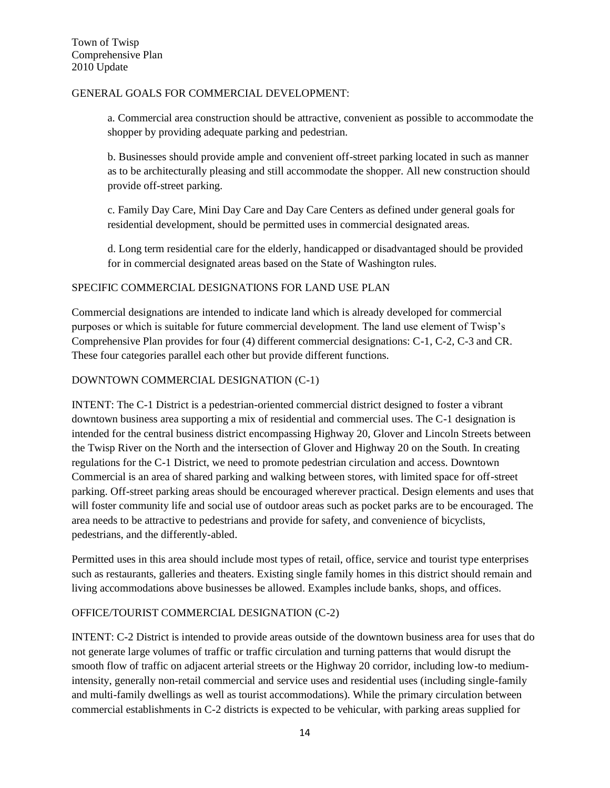## GENERAL GOALS FOR COMMERCIAL DEVELOPMENT:

a. Commercial area construction should be attractive, convenient as possible to accommodate the shopper by providing adequate parking and pedestrian.

b. Businesses should provide ample and convenient off-street parking located in such as manner as to be architecturally pleasing and still accommodate the shopper. All new construction should provide off-street parking.

c. Family Day Care, Mini Day Care and Day Care Centers as defined under general goals for residential development, should be permitted uses in commercial designated areas.

d. Long term residential care for the elderly, handicapped or disadvantaged should be provided for in commercial designated areas based on the State of Washington rules.

## SPECIFIC COMMERCIAL DESIGNATIONS FOR LAND USE PLAN

Commercial designations are intended to indicate land which is already developed for commercial purposes or which is suitable for future commercial development. The land use element of Twisp's Comprehensive Plan provides for four (4) different commercial designations: C-1, C-2, C-3 and CR. These four categories parallel each other but provide different functions.

## DOWNTOWN COMMERCIAL DESIGNATION (C-1)

INTENT: The C-1 District is a pedestrian-oriented commercial district designed to foster a vibrant downtown business area supporting a mix of residential and commercial uses. The C-1 designation is intended for the central business district encompassing Highway 20, Glover and Lincoln Streets between the Twisp River on the North and the intersection of Glover and Highway 20 on the South. In creating regulations for the C-1 District, we need to promote pedestrian circulation and access. Downtown Commercial is an area of shared parking and walking between stores, with limited space for off-street parking. Off-street parking areas should be encouraged wherever practical. Design elements and uses that will foster community life and social use of outdoor areas such as pocket parks are to be encouraged. The area needs to be attractive to pedestrians and provide for safety, and convenience of bicyclists, pedestrians, and the differently-abled.

Permitted uses in this area should include most types of retail, office, service and tourist type enterprises such as restaurants, galleries and theaters. Existing single family homes in this district should remain and living accommodations above businesses be allowed. Examples include banks, shops, and offices.

## OFFICE/TOURIST COMMERCIAL DESIGNATION (C-2)

INTENT: C-2 District is intended to provide areas outside of the downtown business area for uses that do not generate large volumes of traffic or traffic circulation and turning patterns that would disrupt the smooth flow of traffic on adjacent arterial streets or the Highway 20 corridor, including low-to mediumintensity, generally non-retail commercial and service uses and residential uses (including single-family and multi-family dwellings as well as tourist accommodations). While the primary circulation between commercial establishments in C-2 districts is expected to be vehicular, with parking areas supplied for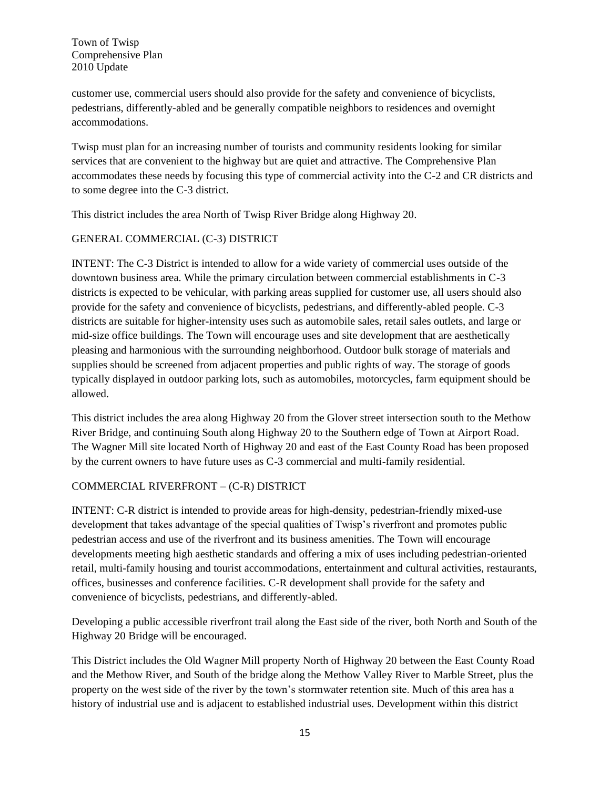customer use, commercial users should also provide for the safety and convenience of bicyclists, pedestrians, differently-abled and be generally compatible neighbors to residences and overnight accommodations.

Twisp must plan for an increasing number of tourists and community residents looking for similar services that are convenient to the highway but are quiet and attractive. The Comprehensive Plan accommodates these needs by focusing this type of commercial activity into the C-2 and CR districts and to some degree into the C-3 district.

This district includes the area North of Twisp River Bridge along Highway 20.

## GENERAL COMMERCIAL (C-3) DISTRICT

INTENT: The C-3 District is intended to allow for a wide variety of commercial uses outside of the downtown business area. While the primary circulation between commercial establishments in C-3 districts is expected to be vehicular, with parking areas supplied for customer use, all users should also provide for the safety and convenience of bicyclists, pedestrians, and differently-abled people. C-3 districts are suitable for higher-intensity uses such as automobile sales, retail sales outlets, and large or mid-size office buildings. The Town will encourage uses and site development that are aesthetically pleasing and harmonious with the surrounding neighborhood. Outdoor bulk storage of materials and supplies should be screened from adjacent properties and public rights of way. The storage of goods typically displayed in outdoor parking lots, such as automobiles, motorcycles, farm equipment should be allowed.

This district includes the area along Highway 20 from the Glover street intersection south to the Methow River Bridge, and continuing South along Highway 20 to the Southern edge of Town at Airport Road. The Wagner Mill site located North of Highway 20 and east of the East County Road has been proposed by the current owners to have future uses as C-3 commercial and multi-family residential.

## COMMERCIAL RIVERFRONT – (C-R) DISTRICT

INTENT: C-R district is intended to provide areas for high-density, pedestrian-friendly mixed-use development that takes advantage of the special qualities of Twisp's riverfront and promotes public pedestrian access and use of the riverfront and its business amenities. The Town will encourage developments meeting high aesthetic standards and offering a mix of uses including pedestrian-oriented retail, multi-family housing and tourist accommodations, entertainment and cultural activities, restaurants, offices, businesses and conference facilities. C-R development shall provide for the safety and convenience of bicyclists, pedestrians, and differently-abled.

Developing a public accessible riverfront trail along the East side of the river, both North and South of the Highway 20 Bridge will be encouraged.

This District includes the Old Wagner Mill property North of Highway 20 between the East County Road and the Methow River, and South of the bridge along the Methow Valley River to Marble Street, plus the property on the west side of the river by the town's stormwater retention site. Much of this area has a history of industrial use and is adjacent to established industrial uses. Development within this district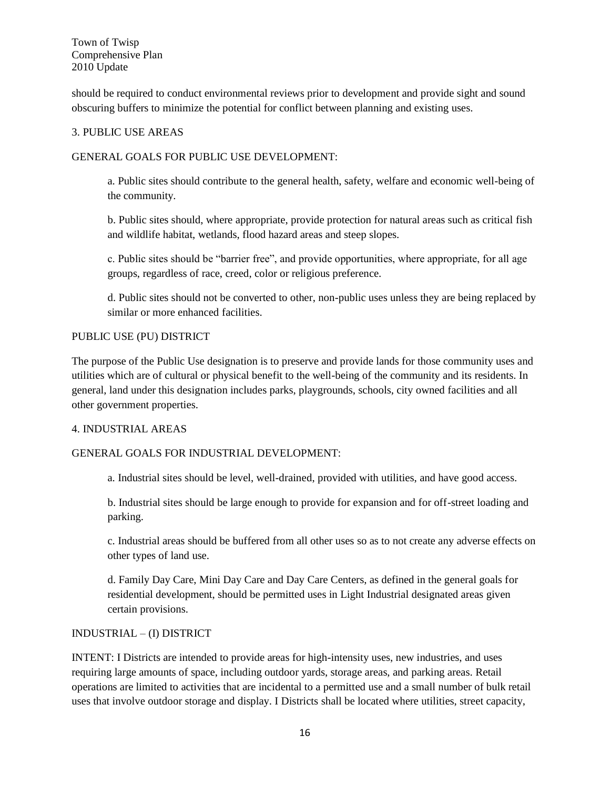should be required to conduct environmental reviews prior to development and provide sight and sound obscuring buffers to minimize the potential for conflict between planning and existing uses.

## 3. PUBLIC USE AREAS

## GENERAL GOALS FOR PUBLIC USE DEVELOPMENT:

a. Public sites should contribute to the general health, safety, welfare and economic well-being of the community.

b. Public sites should, where appropriate, provide protection for natural areas such as critical fish and wildlife habitat, wetlands, flood hazard areas and steep slopes.

c. Public sites should be "barrier free", and provide opportunities, where appropriate, for all age groups, regardless of race, creed, color or religious preference.

d. Public sites should not be converted to other, non-public uses unless they are being replaced by similar or more enhanced facilities.

## PUBLIC USE (PU) DISTRICT

The purpose of the Public Use designation is to preserve and provide lands for those community uses and utilities which are of cultural or physical benefit to the well-being of the community and its residents. In general, land under this designation includes parks, playgrounds, schools, city owned facilities and all other government properties.

#### 4. INDUSTRIAL AREAS

#### GENERAL GOALS FOR INDUSTRIAL DEVELOPMENT:

a. Industrial sites should be level, well-drained, provided with utilities, and have good access.

b. Industrial sites should be large enough to provide for expansion and for off-street loading and parking.

c. Industrial areas should be buffered from all other uses so as to not create any adverse effects on other types of land use.

d. Family Day Care, Mini Day Care and Day Care Centers, as defined in the general goals for residential development, should be permitted uses in Light Industrial designated areas given certain provisions.

#### INDUSTRIAL – (I) DISTRICT

INTENT: I Districts are intended to provide areas for high-intensity uses, new industries, and uses requiring large amounts of space, including outdoor yards, storage areas, and parking areas. Retail operations are limited to activities that are incidental to a permitted use and a small number of bulk retail uses that involve outdoor storage and display. I Districts shall be located where utilities, street capacity,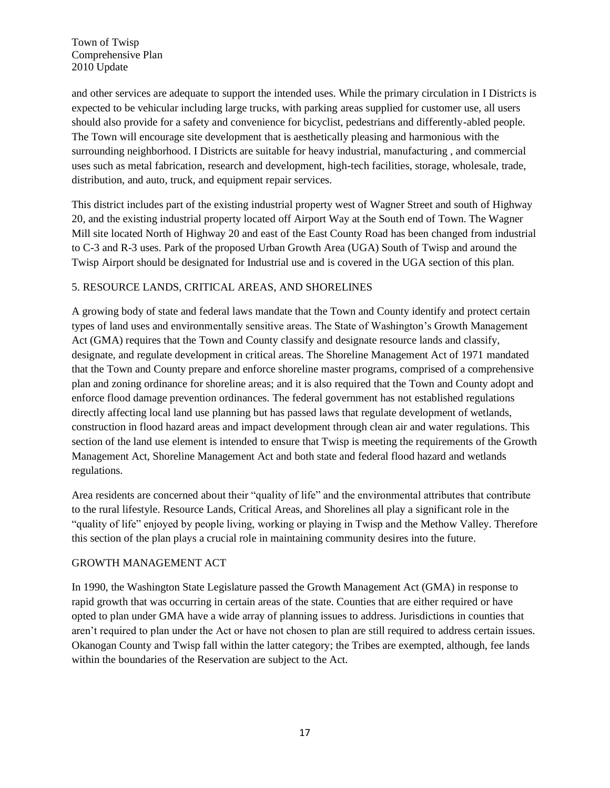and other services are adequate to support the intended uses. While the primary circulation in I Districts is expected to be vehicular including large trucks, with parking areas supplied for customer use, all users should also provide for a safety and convenience for bicyclist, pedestrians and differently-abled people. The Town will encourage site development that is aesthetically pleasing and harmonious with the surrounding neighborhood. I Districts are suitable for heavy industrial, manufacturing , and commercial uses such as metal fabrication, research and development, high-tech facilities, storage, wholesale, trade, distribution, and auto, truck, and equipment repair services.

This district includes part of the existing industrial property west of Wagner Street and south of Highway 20, and the existing industrial property located off Airport Way at the South end of Town. The Wagner Mill site located North of Highway 20 and east of the East County Road has been changed from industrial to C-3 and R-3 uses. Park of the proposed Urban Growth Area (UGA) South of Twisp and around the Twisp Airport should be designated for Industrial use and is covered in the UGA section of this plan.

## 5. RESOURCE LANDS, CRITICAL AREAS, AND SHORELINES

A growing body of state and federal laws mandate that the Town and County identify and protect certain types of land uses and environmentally sensitive areas. The State of Washington's Growth Management Act (GMA) requires that the Town and County classify and designate resource lands and classify, designate, and regulate development in critical areas. The Shoreline Management Act of 1971 mandated that the Town and County prepare and enforce shoreline master programs, comprised of a comprehensive plan and zoning ordinance for shoreline areas; and it is also required that the Town and County adopt and enforce flood damage prevention ordinances. The federal government has not established regulations directly affecting local land use planning but has passed laws that regulate development of wetlands, construction in flood hazard areas and impact development through clean air and water regulations. This section of the land use element is intended to ensure that Twisp is meeting the requirements of the Growth Management Act, Shoreline Management Act and both state and federal flood hazard and wetlands regulations.

Area residents are concerned about their "quality of life" and the environmental attributes that contribute to the rural lifestyle. Resource Lands, Critical Areas, and Shorelines all play a significant role in the "quality of life" enjoyed by people living, working or playing in Twisp and the Methow Valley. Therefore this section of the plan plays a crucial role in maintaining community desires into the future.

#### GROWTH MANAGEMENT ACT

In 1990, the Washington State Legislature passed the Growth Management Act (GMA) in response to rapid growth that was occurring in certain areas of the state. Counties that are either required or have opted to plan under GMA have a wide array of planning issues to address. Jurisdictions in counties that aren't required to plan under the Act or have not chosen to plan are still required to address certain issues. Okanogan County and Twisp fall within the latter category; the Tribes are exempted, although, fee lands within the boundaries of the Reservation are subject to the Act.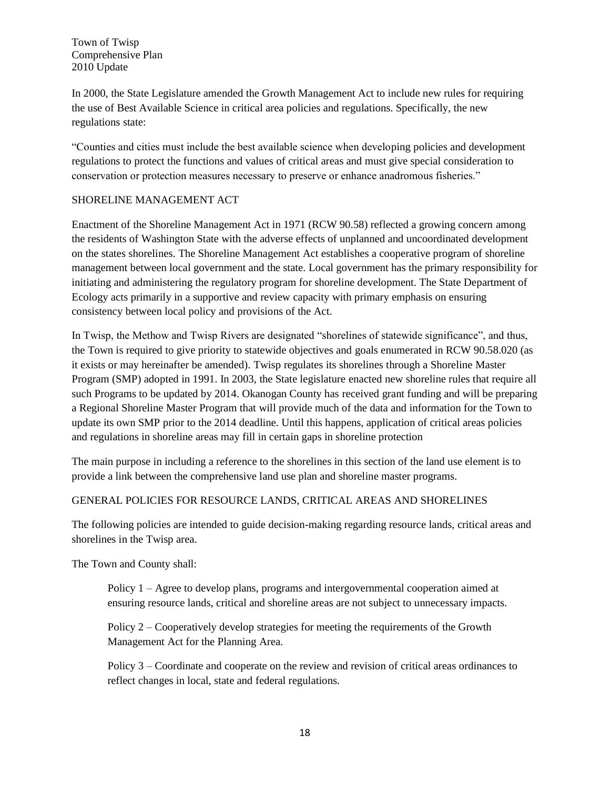In 2000, the State Legislature amended the Growth Management Act to include new rules for requiring the use of Best Available Science in critical area policies and regulations. Specifically, the new regulations state:

"Counties and cities must include the best available science when developing policies and development regulations to protect the functions and values of critical areas and must give special consideration to conservation or protection measures necessary to preserve or enhance anadromous fisheries."

## SHORELINE MANAGEMENT ACT

Enactment of the Shoreline Management Act in 1971 (RCW 90.58) reflected a growing concern among the residents of Washington State with the adverse effects of unplanned and uncoordinated development on the states shorelines. The Shoreline Management Act establishes a cooperative program of shoreline management between local government and the state. Local government has the primary responsibility for initiating and administering the regulatory program for shoreline development. The State Department of Ecology acts primarily in a supportive and review capacity with primary emphasis on ensuring consistency between local policy and provisions of the Act.

In Twisp, the Methow and Twisp Rivers are designated "shorelines of statewide significance", and thus, the Town is required to give priority to statewide objectives and goals enumerated in RCW 90.58.020 (as it exists or may hereinafter be amended). Twisp regulates its shorelines through a Shoreline Master Program (SMP) adopted in 1991. In 2003, the State legislature enacted new shoreline rules that require all such Programs to be updated by 2014. Okanogan County has received grant funding and will be preparing a Regional Shoreline Master Program that will provide much of the data and information for the Town to update its own SMP prior to the 2014 deadline. Until this happens, application of critical areas policies and regulations in shoreline areas may fill in certain gaps in shoreline protection

The main purpose in including a reference to the shorelines in this section of the land use element is to provide a link between the comprehensive land use plan and shoreline master programs.

#### GENERAL POLICIES FOR RESOURCE LANDS, CRITICAL AREAS AND SHORELINES

The following policies are intended to guide decision-making regarding resource lands, critical areas and shorelines in the Twisp area.

The Town and County shall:

Policy 1 – Agree to develop plans, programs and intergovernmental cooperation aimed at ensuring resource lands, critical and shoreline areas are not subject to unnecessary impacts.

Policy 2 – Cooperatively develop strategies for meeting the requirements of the Growth Management Act for the Planning Area.

Policy 3 – Coordinate and cooperate on the review and revision of critical areas ordinances to reflect changes in local, state and federal regulations.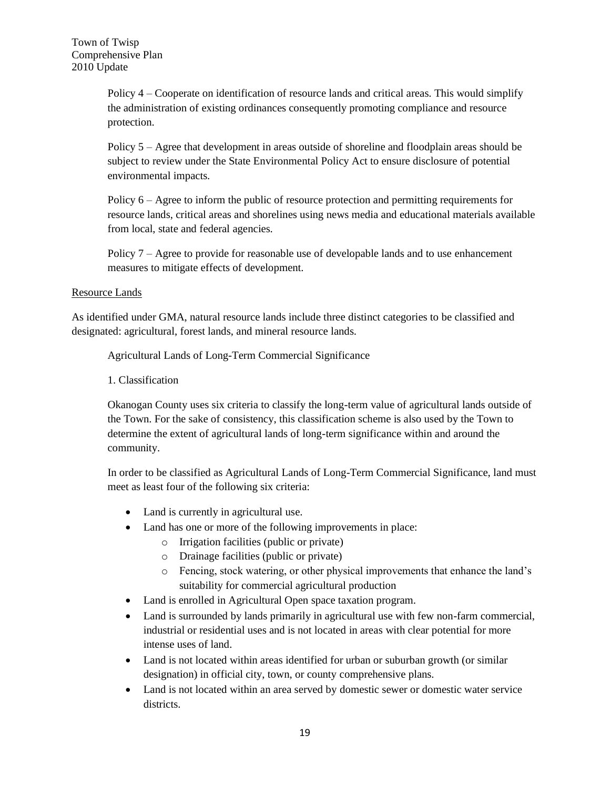Policy 4 – Cooperate on identification of resource lands and critical areas. This would simplify the administration of existing ordinances consequently promoting compliance and resource protection.

Policy 5 – Agree that development in areas outside of shoreline and floodplain areas should be subject to review under the State Environmental Policy Act to ensure disclosure of potential environmental impacts.

Policy  $6 - \text{Agree}$  to inform the public of resource protection and permitting requirements for resource lands, critical areas and shorelines using news media and educational materials available from local, state and federal agencies.

Policy 7 – Agree to provide for reasonable use of developable lands and to use enhancement measures to mitigate effects of development.

## Resource Lands

As identified under GMA, natural resource lands include three distinct categories to be classified and designated: agricultural, forest lands, and mineral resource lands.

Agricultural Lands of Long-Term Commercial Significance

1. Classification

Okanogan County uses six criteria to classify the long-term value of agricultural lands outside of the Town. For the sake of consistency, this classification scheme is also used by the Town to determine the extent of agricultural lands of long-term significance within and around the community.

In order to be classified as Agricultural Lands of Long-Term Commercial Significance, land must meet as least four of the following six criteria:

- Land is currently in agricultural use.
- Land has one or more of the following improvements in place:
	- o Irrigation facilities (public or private)
	- o Drainage facilities (public or private)
	- o Fencing, stock watering, or other physical improvements that enhance the land's suitability for commercial agricultural production
- Land is enrolled in Agricultural Open space taxation program.
- Land is surrounded by lands primarily in agricultural use with few non-farm commercial, industrial or residential uses and is not located in areas with clear potential for more intense uses of land.
- Land is not located within areas identified for urban or suburban growth (or similar designation) in official city, town, or county comprehensive plans.
- Land is not located within an area served by domestic sewer or domestic water service districts.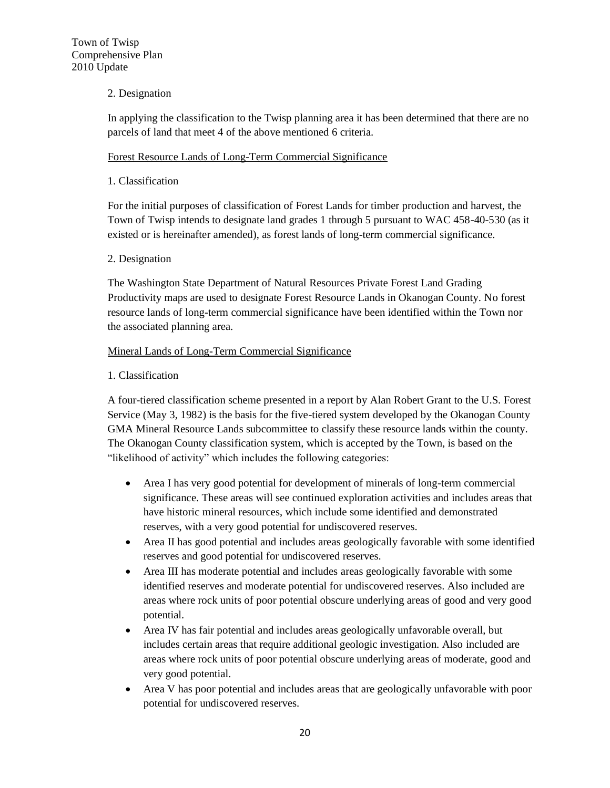## 2. Designation

In applying the classification to the Twisp planning area it has been determined that there are no parcels of land that meet 4 of the above mentioned 6 criteria.

#### Forest Resource Lands of Long-Term Commercial Significance

#### 1. Classification

For the initial purposes of classification of Forest Lands for timber production and harvest, the Town of Twisp intends to designate land grades 1 through 5 pursuant to WAC 458-40-530 (as it existed or is hereinafter amended), as forest lands of long-term commercial significance.

## 2. Designation

The Washington State Department of Natural Resources Private Forest Land Grading Productivity maps are used to designate Forest Resource Lands in Okanogan County. No forest resource lands of long-term commercial significance have been identified within the Town nor the associated planning area.

## Mineral Lands of Long-Term Commercial Significance

## 1. Classification

A four-tiered classification scheme presented in a report by Alan Robert Grant to the U.S. Forest Service (May 3, 1982) is the basis for the five-tiered system developed by the Okanogan County GMA Mineral Resource Lands subcommittee to classify these resource lands within the county. The Okanogan County classification system, which is accepted by the Town, is based on the "likelihood of activity" which includes the following categories:

- Area I has very good potential for development of minerals of long-term commercial significance. These areas will see continued exploration activities and includes areas that have historic mineral resources, which include some identified and demonstrated reserves, with a very good potential for undiscovered reserves.
- Area II has good potential and includes areas geologically favorable with some identified reserves and good potential for undiscovered reserves.
- Area III has moderate potential and includes areas geologically favorable with some identified reserves and moderate potential for undiscovered reserves. Also included are areas where rock units of poor potential obscure underlying areas of good and very good potential.
- Area IV has fair potential and includes areas geologically unfavorable overall, but includes certain areas that require additional geologic investigation. Also included are areas where rock units of poor potential obscure underlying areas of moderate, good and very good potential.
- Area V has poor potential and includes areas that are geologically unfavorable with poor potential for undiscovered reserves.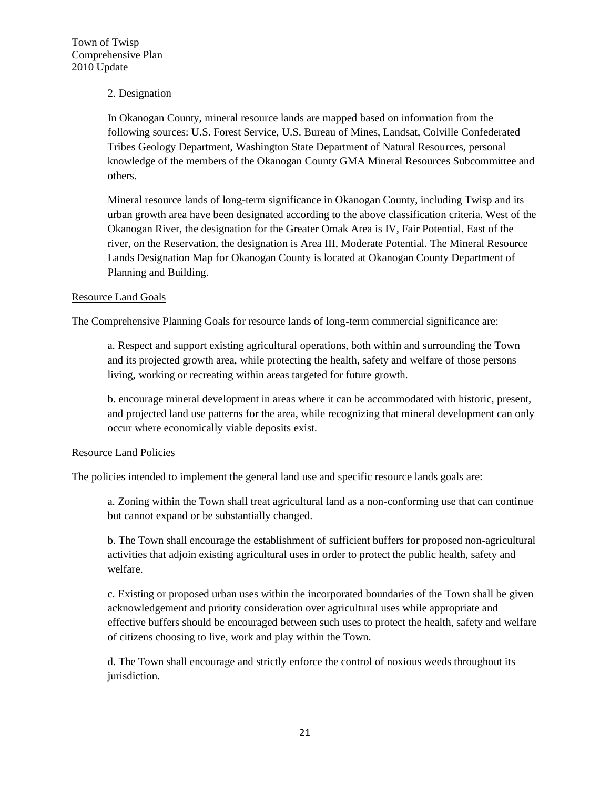#### 2. Designation

In Okanogan County, mineral resource lands are mapped based on information from the following sources: U.S. Forest Service, U.S. Bureau of Mines, Landsat, Colville Confederated Tribes Geology Department, Washington State Department of Natural Resources, personal knowledge of the members of the Okanogan County GMA Mineral Resources Subcommittee and others.

Mineral resource lands of long-term significance in Okanogan County, including Twisp and its urban growth area have been designated according to the above classification criteria. West of the Okanogan River, the designation for the Greater Omak Area is IV, Fair Potential. East of the river, on the Reservation, the designation is Area III, Moderate Potential. The Mineral Resource Lands Designation Map for Okanogan County is located at Okanogan County Department of Planning and Building.

#### Resource Land Goals

The Comprehensive Planning Goals for resource lands of long-term commercial significance are:

a. Respect and support existing agricultural operations, both within and surrounding the Town and its projected growth area, while protecting the health, safety and welfare of those persons living, working or recreating within areas targeted for future growth.

b. encourage mineral development in areas where it can be accommodated with historic, present, and projected land use patterns for the area, while recognizing that mineral development can only occur where economically viable deposits exist.

#### Resource Land Policies

The policies intended to implement the general land use and specific resource lands goals are:

a. Zoning within the Town shall treat agricultural land as a non-conforming use that can continue but cannot expand or be substantially changed.

b. The Town shall encourage the establishment of sufficient buffers for proposed non-agricultural activities that adjoin existing agricultural uses in order to protect the public health, safety and welfare.

c. Existing or proposed urban uses within the incorporated boundaries of the Town shall be given acknowledgement and priority consideration over agricultural uses while appropriate and effective buffers should be encouraged between such uses to protect the health, safety and welfare of citizens choosing to live, work and play within the Town.

d. The Town shall encourage and strictly enforce the control of noxious weeds throughout its jurisdiction.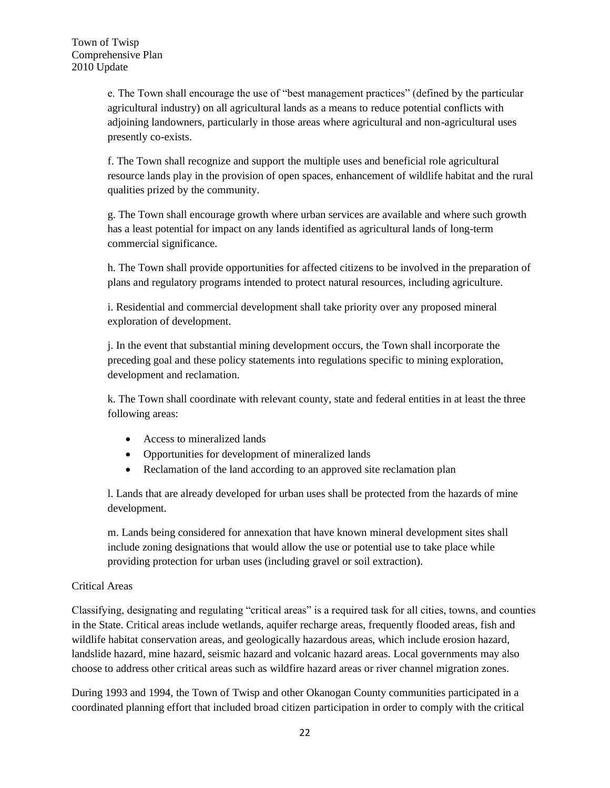e. The Town shall encourage the use of "best management practices" (defined by the particular agricultural industry) on all agricultural lands as a means to reduce potential conflicts with adjoining landowners, particularly in those areas where agricultural and non-agricultural uses presently co-exists.

f. The Town shall recognize and support the multiple uses and beneficial role agricultural resource lands play in the provision of open spaces, enhancement of wildlife habitat and the rural qualities prized by the community.

g. The Town shall encourage growth where urban services are available and where such growth has a least potential for impact on any lands identified as agricultural lands of long-term commercial significance.

h. The Town shall provide opportunities for affected citizens to be involved in the preparation of plans and regulatory programs intended to protect natural resources, including agriculture.

i. Residential and commercial development shall take priority over any proposed mineral exploration of development.

j. In the event that substantial mining development occurs, the Town shall incorporate the preceding goal and these policy statements into regulations specific to mining exploration, development and reclamation.

k. The Town shall coordinate with relevant county, state and federal entities in at least the three following areas:

- Access to mineralized lands
- Opportunities for development of mineralized lands
- Reclamation of the land according to an approved site reclamation plan

l. Lands that are already developed for urban uses shall be protected from the hazards of mine development.

m. Lands being considered for annexation that have known mineral development sites shall include zoning designations that would allow the use or potential use to take place while providing protection for urban uses (including gravel or soil extraction).

## Critical Areas

Classifying, designating and regulating "critical areas" is a required task for all cities, towns, and counties in the State. Critical areas include wetlands, aquifer recharge areas, frequently flooded areas, fish and wildlife habitat conservation areas, and geologically hazardous areas, which include erosion hazard, landslide hazard, mine hazard, seismic hazard and volcanic hazard areas. Local governments may also choose to address other critical areas such as wildfire hazard areas or river channel migration zones.

During 1993 and 1994, the Town of Twisp and other Okanogan County communities participated in a coordinated planning effort that included broad citizen participation in order to comply with the critical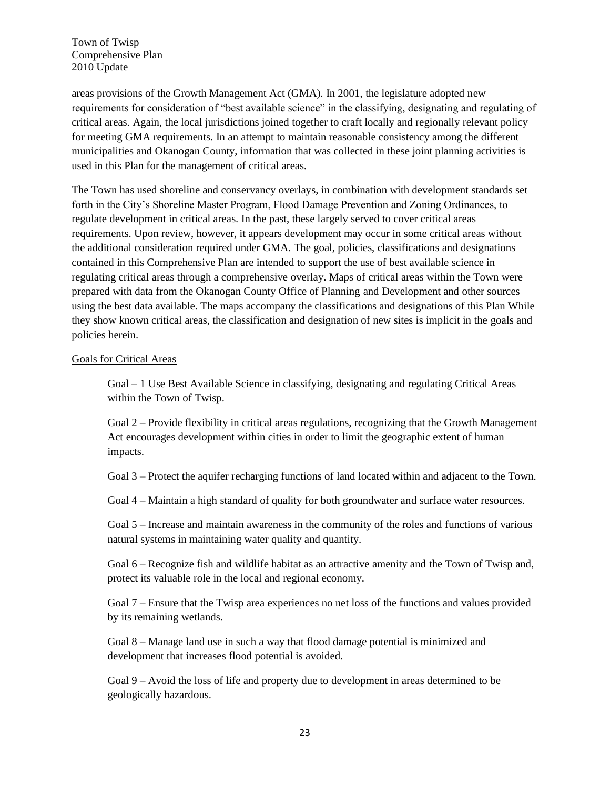areas provisions of the Growth Management Act (GMA). In 2001, the legislature adopted new requirements for consideration of "best available science" in the classifying, designating and regulating of critical areas. Again, the local jurisdictions joined together to craft locally and regionally relevant policy for meeting GMA requirements. In an attempt to maintain reasonable consistency among the different municipalities and Okanogan County, information that was collected in these joint planning activities is used in this Plan for the management of critical areas.

The Town has used shoreline and conservancy overlays, in combination with development standards set forth in the City's Shoreline Master Program, Flood Damage Prevention and Zoning Ordinances, to regulate development in critical areas. In the past, these largely served to cover critical areas requirements. Upon review, however, it appears development may occur in some critical areas without the additional consideration required under GMA. The goal, policies, classifications and designations contained in this Comprehensive Plan are intended to support the use of best available science in regulating critical areas through a comprehensive overlay. Maps of critical areas within the Town were prepared with data from the Okanogan County Office of Planning and Development and other sources using the best data available. The maps accompany the classifications and designations of this Plan While they show known critical areas, the classification and designation of new sites is implicit in the goals and policies herein.

#### Goals for Critical Areas

Goal – 1 Use Best Available Science in classifying, designating and regulating Critical Areas within the Town of Twisp.

Goal 2 – Provide flexibility in critical areas regulations, recognizing that the Growth Management Act encourages development within cities in order to limit the geographic extent of human impacts.

Goal 3 – Protect the aquifer recharging functions of land located within and adjacent to the Town.

Goal 4 – Maintain a high standard of quality for both groundwater and surface water resources.

Goal 5 – Increase and maintain awareness in the community of the roles and functions of various natural systems in maintaining water quality and quantity.

Goal 6 – Recognize fish and wildlife habitat as an attractive amenity and the Town of Twisp and, protect its valuable role in the local and regional economy.

Goal 7 – Ensure that the Twisp area experiences no net loss of the functions and values provided by its remaining wetlands.

Goal 8 – Manage land use in such a way that flood damage potential is minimized and development that increases flood potential is avoided.

Goal 9 – Avoid the loss of life and property due to development in areas determined to be geologically hazardous.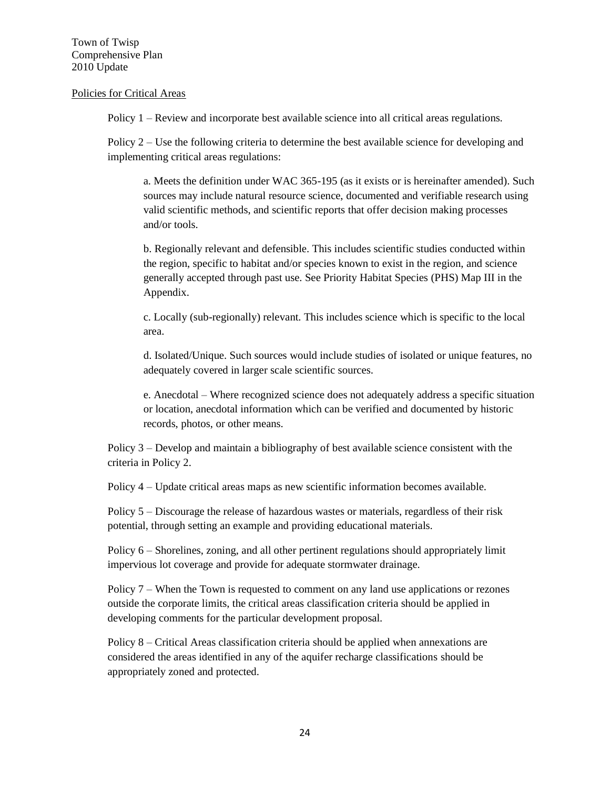#### Policies for Critical Areas

Policy 1 – Review and incorporate best available science into all critical areas regulations.

Policy 2 – Use the following criteria to determine the best available science for developing and implementing critical areas regulations:

a. Meets the definition under WAC 365-195 (as it exists or is hereinafter amended). Such sources may include natural resource science, documented and verifiable research using valid scientific methods, and scientific reports that offer decision making processes and/or tools.

b. Regionally relevant and defensible. This includes scientific studies conducted within the region, specific to habitat and/or species known to exist in the region, and science generally accepted through past use. See Priority Habitat Species (PHS) Map III in the Appendix.

c. Locally (sub-regionally) relevant. This includes science which is specific to the local area.

d. Isolated/Unique. Such sources would include studies of isolated or unique features, no adequately covered in larger scale scientific sources.

e. Anecdotal – Where recognized science does not adequately address a specific situation or location, anecdotal information which can be verified and documented by historic records, photos, or other means.

Policy 3 – Develop and maintain a bibliography of best available science consistent with the criteria in Policy 2.

Policy 4 – Update critical areas maps as new scientific information becomes available.

Policy 5 – Discourage the release of hazardous wastes or materials, regardless of their risk potential, through setting an example and providing educational materials.

Policy 6 – Shorelines, zoning, and all other pertinent regulations should appropriately limit impervious lot coverage and provide for adequate stormwater drainage.

Policy 7 – When the Town is requested to comment on any land use applications or rezones outside the corporate limits, the critical areas classification criteria should be applied in developing comments for the particular development proposal.

Policy 8 – Critical Areas classification criteria should be applied when annexations are considered the areas identified in any of the aquifer recharge classifications should be appropriately zoned and protected.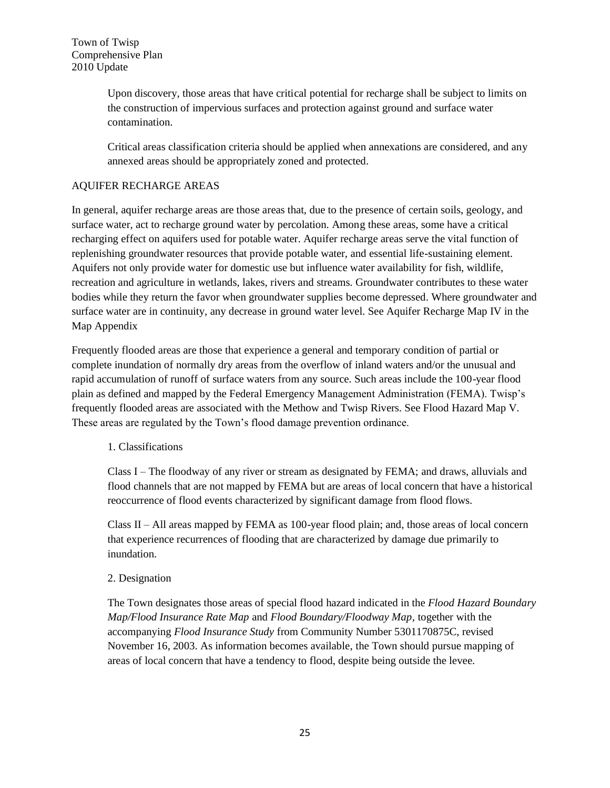Upon discovery, those areas that have critical potential for recharge shall be subject to limits on the construction of impervious surfaces and protection against ground and surface water contamination.

Critical areas classification criteria should be applied when annexations are considered, and any annexed areas should be appropriately zoned and protected.

## AQUIFER RECHARGE AREAS

In general, aquifer recharge areas are those areas that, due to the presence of certain soils, geology, and surface water, act to recharge ground water by percolation. Among these areas, some have a critical recharging effect on aquifers used for potable water. Aquifer recharge areas serve the vital function of replenishing groundwater resources that provide potable water, and essential life-sustaining element. Aquifers not only provide water for domestic use but influence water availability for fish, wildlife, recreation and agriculture in wetlands, lakes, rivers and streams. Groundwater contributes to these water bodies while they return the favor when groundwater supplies become depressed. Where groundwater and surface water are in continuity, any decrease in ground water level. See Aquifer Recharge Map IV in the Map Appendix

Frequently flooded areas are those that experience a general and temporary condition of partial or complete inundation of normally dry areas from the overflow of inland waters and/or the unusual and rapid accumulation of runoff of surface waters from any source. Such areas include the 100-year flood plain as defined and mapped by the Federal Emergency Management Administration (FEMA). Twisp's frequently flooded areas are associated with the Methow and Twisp Rivers. See Flood Hazard Map V. These areas are regulated by the Town's flood damage prevention ordinance.

#### 1. Classifications

Class I – The floodway of any river or stream as designated by FEMA; and draws, alluvials and flood channels that are not mapped by FEMA but are areas of local concern that have a historical reoccurrence of flood events characterized by significant damage from flood flows.

Class II – All areas mapped by FEMA as 100-year flood plain; and, those areas of local concern that experience recurrences of flooding that are characterized by damage due primarily to inundation.

#### 2. Designation

The Town designates those areas of special flood hazard indicated in the *Flood Hazard Boundary Map/Flood Insurance Rate Map* and *Flood Boundary/Floodway Map*, together with the accompanying *Flood Insurance Study* from Community Number 5301170875C, revised November 16, 2003. As information becomes available, the Town should pursue mapping of areas of local concern that have a tendency to flood, despite being outside the levee.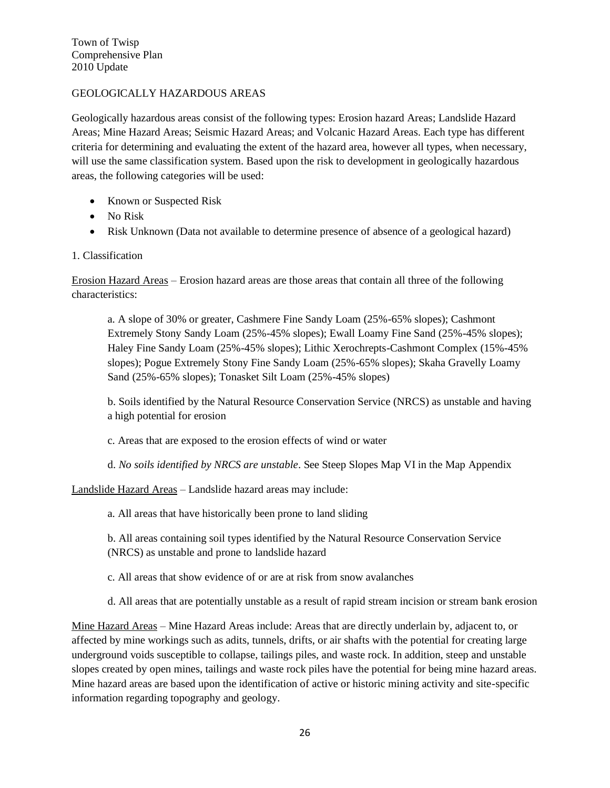## GEOLOGICALLY HAZARDOUS AREAS

Geologically hazardous areas consist of the following types: Erosion hazard Areas; Landslide Hazard Areas; Mine Hazard Areas; Seismic Hazard Areas; and Volcanic Hazard Areas. Each type has different criteria for determining and evaluating the extent of the hazard area, however all types, when necessary, will use the same classification system. Based upon the risk to development in geologically hazardous areas, the following categories will be used:

- Known or Suspected Risk
- No Risk
- Risk Unknown (Data not available to determine presence of absence of a geological hazard)

## 1. Classification

Erosion Hazard Areas – Erosion hazard areas are those areas that contain all three of the following characteristics:

a. A slope of 30% or greater, Cashmere Fine Sandy Loam (25%-65% slopes); Cashmont Extremely Stony Sandy Loam (25%-45% slopes); Ewall Loamy Fine Sand (25%-45% slopes); Haley Fine Sandy Loam (25%-45% slopes); Lithic Xerochrepts-Cashmont Complex (15%-45% slopes); Pogue Extremely Stony Fine Sandy Loam (25%-65% slopes); Skaha Gravelly Loamy Sand (25%-65% slopes); Tonasket Silt Loam (25%-45% slopes)

b. Soils identified by the Natural Resource Conservation Service (NRCS) as unstable and having a high potential for erosion

c. Areas that are exposed to the erosion effects of wind or water

d. *No soils identified by NRCS are unstable*. See Steep Slopes Map VI in the Map Appendix

Landslide Hazard Areas – Landslide hazard areas may include:

a. All areas that have historically been prone to land sliding

b. All areas containing soil types identified by the Natural Resource Conservation Service (NRCS) as unstable and prone to landslide hazard

c. All areas that show evidence of or are at risk from snow avalanches

d. All areas that are potentially unstable as a result of rapid stream incision or stream bank erosion

Mine Hazard Areas – Mine Hazard Areas include: Areas that are directly underlain by, adjacent to, or affected by mine workings such as adits, tunnels, drifts, or air shafts with the potential for creating large underground voids susceptible to collapse, tailings piles, and waste rock. In addition, steep and unstable slopes created by open mines, tailings and waste rock piles have the potential for being mine hazard areas. Mine hazard areas are based upon the identification of active or historic mining activity and site-specific information regarding topography and geology.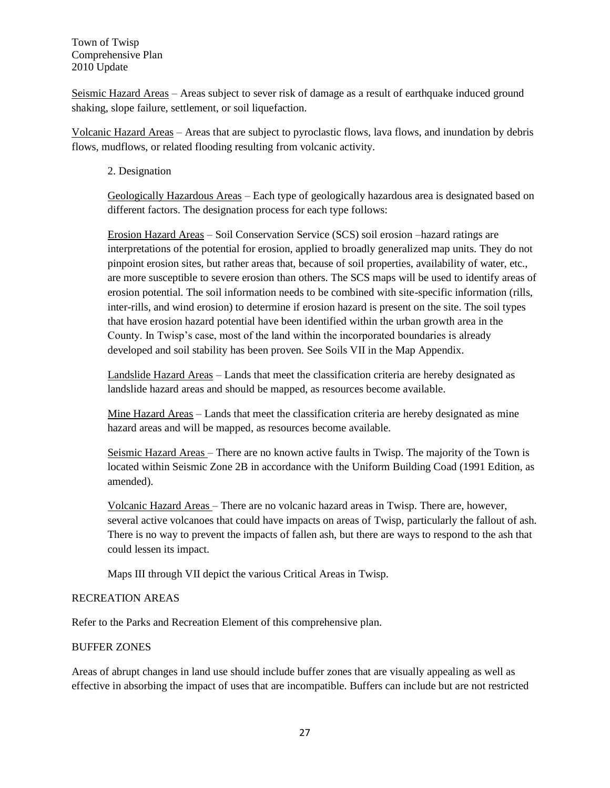Seismic Hazard Areas – Areas subject to sever risk of damage as a result of earthquake induced ground shaking, slope failure, settlement, or soil liquefaction.

Volcanic Hazard Areas – Areas that are subject to pyroclastic flows, lava flows, and inundation by debris flows, mudflows, or related flooding resulting from volcanic activity.

#### 2. Designation

Geologically Hazardous Areas – Each type of geologically hazardous area is designated based on different factors. The designation process for each type follows:

Erosion Hazard Areas – Soil Conservation Service (SCS) soil erosion –hazard ratings are interpretations of the potential for erosion, applied to broadly generalized map units. They do not pinpoint erosion sites, but rather areas that, because of soil properties, availability of water, etc., are more susceptible to severe erosion than others. The SCS maps will be used to identify areas of erosion potential. The soil information needs to be combined with site-specific information (rills, inter-rills, and wind erosion) to determine if erosion hazard is present on the site. The soil types that have erosion hazard potential have been identified within the urban growth area in the County. In Twisp's case, most of the land within the incorporated boundaries is already developed and soil stability has been proven. See Soils VII in the Map Appendix.

Landslide Hazard Areas – Lands that meet the classification criteria are hereby designated as landslide hazard areas and should be mapped, as resources become available.

Mine Hazard Areas – Lands that meet the classification criteria are hereby designated as mine hazard areas and will be mapped, as resources become available.

Seismic Hazard Areas – There are no known active faults in Twisp. The majority of the Town is located within Seismic Zone 2B in accordance with the Uniform Building Coad (1991 Edition, as amended).

Volcanic Hazard Areas – There are no volcanic hazard areas in Twisp. There are, however, several active volcanoes that could have impacts on areas of Twisp, particularly the fallout of ash. There is no way to prevent the impacts of fallen ash, but there are ways to respond to the ash that could lessen its impact.

Maps III through VII depict the various Critical Areas in Twisp.

#### RECREATION AREAS

Refer to the Parks and Recreation Element of this comprehensive plan.

#### BUFFER ZONES

Areas of abrupt changes in land use should include buffer zones that are visually appealing as well as effective in absorbing the impact of uses that are incompatible. Buffers can include but are not restricted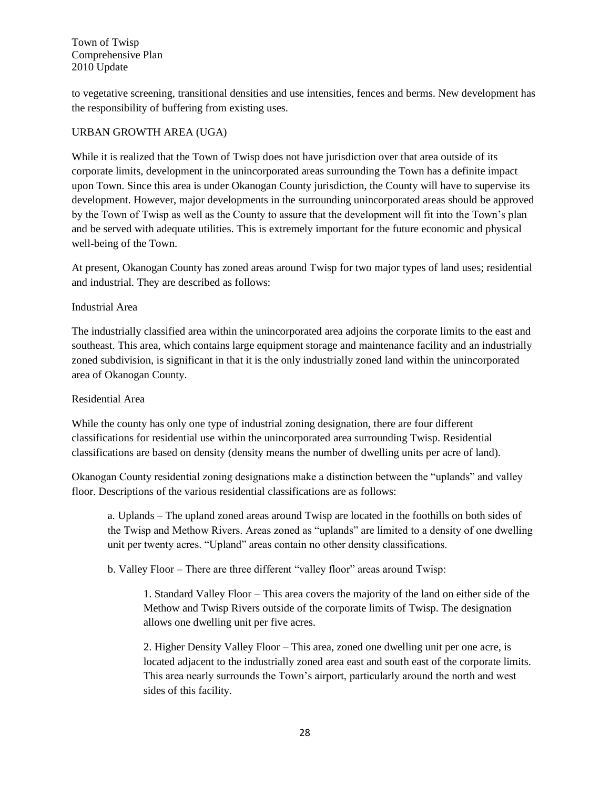to vegetative screening, transitional densities and use intensities, fences and berms. New development has the responsibility of buffering from existing uses.

## URBAN GROWTH AREA (UGA)

While it is realized that the Town of Twisp does not have jurisdiction over that area outside of its corporate limits, development in the unincorporated areas surrounding the Town has a definite impact upon Town. Since this area is under Okanogan County jurisdiction, the County will have to supervise its development. However, major developments in the surrounding unincorporated areas should be approved by the Town of Twisp as well as the County to assure that the development will fit into the Town's plan and be served with adequate utilities. This is extremely important for the future economic and physical well-being of the Town.

At present, Okanogan County has zoned areas around Twisp for two major types of land uses; residential and industrial. They are described as follows:

#### Industrial Area

The industrially classified area within the unincorporated area adjoins the corporate limits to the east and southeast. This area, which contains large equipment storage and maintenance facility and an industrially zoned subdivision, is significant in that it is the only industrially zoned land within the unincorporated area of Okanogan County.

#### Residential Area

While the county has only one type of industrial zoning designation, there are four different classifications for residential use within the unincorporated area surrounding Twisp. Residential classifications are based on density (density means the number of dwelling units per acre of land).

Okanogan County residential zoning designations make a distinction between the "uplands" and valley floor. Descriptions of the various residential classifications are as follows:

a. Uplands – The upland zoned areas around Twisp are located in the foothills on both sides of the Twisp and Methow Rivers. Areas zoned as "uplands" are limited to a density of one dwelling unit per twenty acres. "Upland" areas contain no other density classifications.

b. Valley Floor – There are three different "valley floor" areas around Twisp:

1. Standard Valley Floor – This area covers the majority of the land on either side of the Methow and Twisp Rivers outside of the corporate limits of Twisp. The designation allows one dwelling unit per five acres.

2. Higher Density Valley Floor – This area, zoned one dwelling unit per one acre, is located adjacent to the industrially zoned area east and south east of the corporate limits. This area nearly surrounds the Town's airport, particularly around the north and west sides of this facility.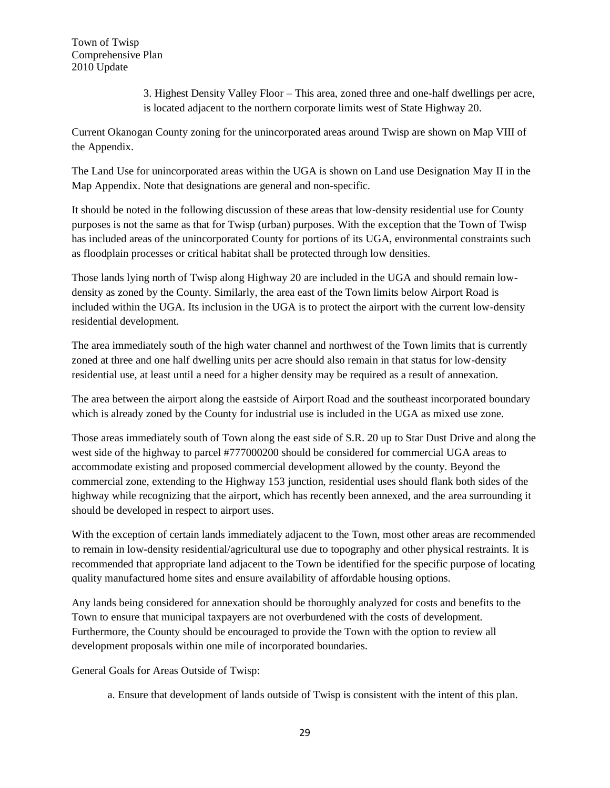3. Highest Density Valley Floor – This area, zoned three and one-half dwellings per acre, is located adjacent to the northern corporate limits west of State Highway 20.

Current Okanogan County zoning for the unincorporated areas around Twisp are shown on Map VIII of the Appendix.

The Land Use for unincorporated areas within the UGA is shown on Land use Designation May II in the Map Appendix. Note that designations are general and non-specific.

It should be noted in the following discussion of these areas that low-density residential use for County purposes is not the same as that for Twisp (urban) purposes. With the exception that the Town of Twisp has included areas of the unincorporated County for portions of its UGA, environmental constraints such as floodplain processes or critical habitat shall be protected through low densities.

Those lands lying north of Twisp along Highway 20 are included in the UGA and should remain lowdensity as zoned by the County. Similarly, the area east of the Town limits below Airport Road is included within the UGA. Its inclusion in the UGA is to protect the airport with the current low-density residential development.

The area immediately south of the high water channel and northwest of the Town limits that is currently zoned at three and one half dwelling units per acre should also remain in that status for low-density residential use, at least until a need for a higher density may be required as a result of annexation.

The area between the airport along the eastside of Airport Road and the southeast incorporated boundary which is already zoned by the County for industrial use is included in the UGA as mixed use zone.

Those areas immediately south of Town along the east side of S.R. 20 up to Star Dust Drive and along the west side of the highway to parcel #777000200 should be considered for commercial UGA areas to accommodate existing and proposed commercial development allowed by the county. Beyond the commercial zone, extending to the Highway 153 junction, residential uses should flank both sides of the highway while recognizing that the airport, which has recently been annexed, and the area surrounding it should be developed in respect to airport uses.

With the exception of certain lands immediately adjacent to the Town, most other areas are recommended to remain in low-density residential/agricultural use due to topography and other physical restraints. It is recommended that appropriate land adjacent to the Town be identified for the specific purpose of locating quality manufactured home sites and ensure availability of affordable housing options.

Any lands being considered for annexation should be thoroughly analyzed for costs and benefits to the Town to ensure that municipal taxpayers are not overburdened with the costs of development. Furthermore, the County should be encouraged to provide the Town with the option to review all development proposals within one mile of incorporated boundaries.

General Goals for Areas Outside of Twisp:

a. Ensure that development of lands outside of Twisp is consistent with the intent of this plan.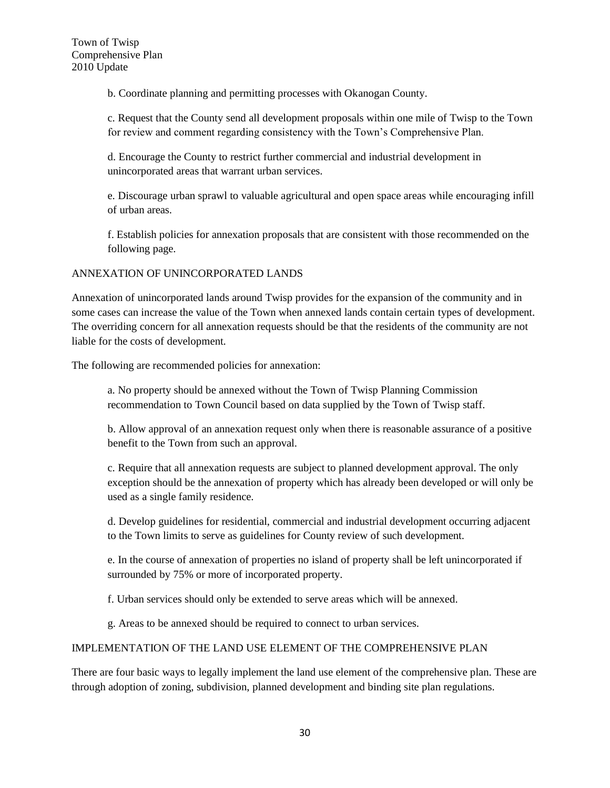b. Coordinate planning and permitting processes with Okanogan County.

c. Request that the County send all development proposals within one mile of Twisp to the Town for review and comment regarding consistency with the Town's Comprehensive Plan.

d. Encourage the County to restrict further commercial and industrial development in unincorporated areas that warrant urban services.

e. Discourage urban sprawl to valuable agricultural and open space areas while encouraging infill of urban areas.

f. Establish policies for annexation proposals that are consistent with those recommended on the following page.

## ANNEXATION OF UNINCORPORATED LANDS

Annexation of unincorporated lands around Twisp provides for the expansion of the community and in some cases can increase the value of the Town when annexed lands contain certain types of development. The overriding concern for all annexation requests should be that the residents of the community are not liable for the costs of development.

The following are recommended policies for annexation:

a. No property should be annexed without the Town of Twisp Planning Commission recommendation to Town Council based on data supplied by the Town of Twisp staff.

b. Allow approval of an annexation request only when there is reasonable assurance of a positive benefit to the Town from such an approval.

c. Require that all annexation requests are subject to planned development approval. The only exception should be the annexation of property which has already been developed or will only be used as a single family residence.

d. Develop guidelines for residential, commercial and industrial development occurring adjacent to the Town limits to serve as guidelines for County review of such development.

e. In the course of annexation of properties no island of property shall be left unincorporated if surrounded by 75% or more of incorporated property.

f. Urban services should only be extended to serve areas which will be annexed.

g. Areas to be annexed should be required to connect to urban services.

#### IMPLEMENTATION OF THE LAND USE ELEMENT OF THE COMPREHENSIVE PLAN

There are four basic ways to legally implement the land use element of the comprehensive plan. These are through adoption of zoning, subdivision, planned development and binding site plan regulations.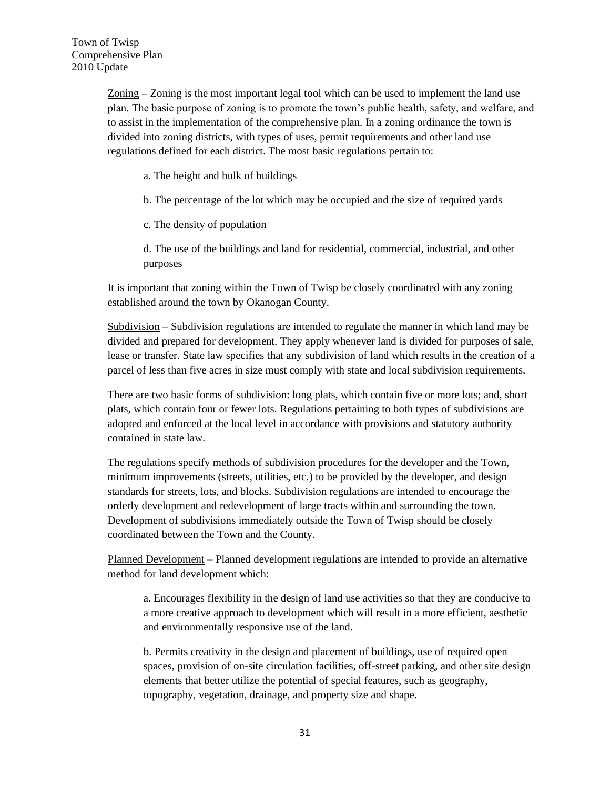Zoning – Zoning is the most important legal tool which can be used to implement the land use plan. The basic purpose of zoning is to promote the town's public health, safety, and welfare, and to assist in the implementation of the comprehensive plan. In a zoning ordinance the town is divided into zoning districts, with types of uses, permit requirements and other land use regulations defined for each district. The most basic regulations pertain to:

- a. The height and bulk of buildings
- b. The percentage of the lot which may be occupied and the size of required yards
- c. The density of population

d. The use of the buildings and land for residential, commercial, industrial, and other purposes

It is important that zoning within the Town of Twisp be closely coordinated with any zoning established around the town by Okanogan County.

Subdivision – Subdivision regulations are intended to regulate the manner in which land may be divided and prepared for development. They apply whenever land is divided for purposes of sale, lease or transfer. State law specifies that any subdivision of land which results in the creation of a parcel of less than five acres in size must comply with state and local subdivision requirements.

There are two basic forms of subdivision: long plats, which contain five or more lots; and, short plats, which contain four or fewer lots. Regulations pertaining to both types of subdivisions are adopted and enforced at the local level in accordance with provisions and statutory authority contained in state law.

The regulations specify methods of subdivision procedures for the developer and the Town, minimum improvements (streets, utilities, etc.) to be provided by the developer, and design standards for streets, lots, and blocks. Subdivision regulations are intended to encourage the orderly development and redevelopment of large tracts within and surrounding the town. Development of subdivisions immediately outside the Town of Twisp should be closely coordinated between the Town and the County.

Planned Development – Planned development regulations are intended to provide an alternative method for land development which:

a. Encourages flexibility in the design of land use activities so that they are conducive to a more creative approach to development which will result in a more efficient, aesthetic and environmentally responsive use of the land.

b. Permits creativity in the design and placement of buildings, use of required open spaces, provision of on-site circulation facilities, off-street parking, and other site design elements that better utilize the potential of special features, such as geography, topography, vegetation, drainage, and property size and shape.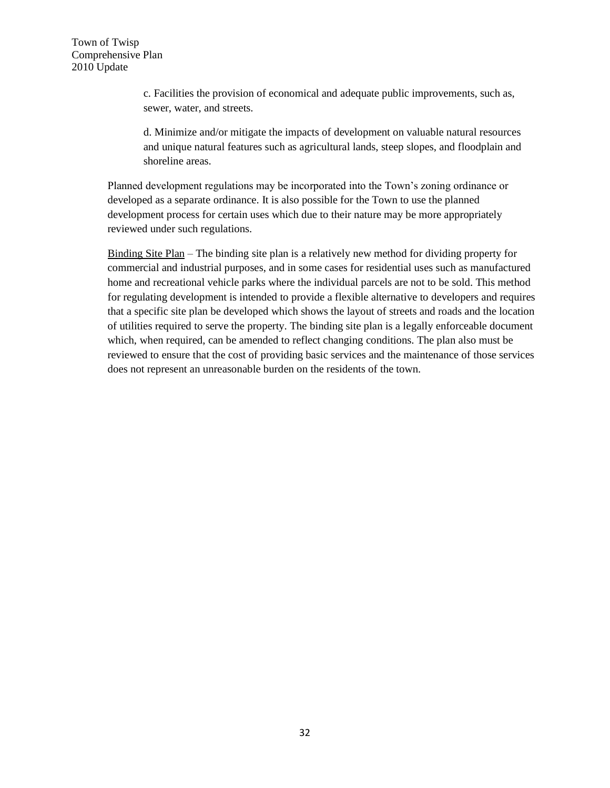c. Facilities the provision of economical and adequate public improvements, such as, sewer, water, and streets.

d. Minimize and/or mitigate the impacts of development on valuable natural resources and unique natural features such as agricultural lands, steep slopes, and floodplain and shoreline areas.

Planned development regulations may be incorporated into the Town's zoning ordinance or developed as a separate ordinance. It is also possible for the Town to use the planned development process for certain uses which due to their nature may be more appropriately reviewed under such regulations.

Binding Site Plan – The binding site plan is a relatively new method for dividing property for commercial and industrial purposes, and in some cases for residential uses such as manufactured home and recreational vehicle parks where the individual parcels are not to be sold. This method for regulating development is intended to provide a flexible alternative to developers and requires that a specific site plan be developed which shows the layout of streets and roads and the location of utilities required to serve the property. The binding site plan is a legally enforceable document which, when required, can be amended to reflect changing conditions. The plan also must be reviewed to ensure that the cost of providing basic services and the maintenance of those services does not represent an unreasonable burden on the residents of the town.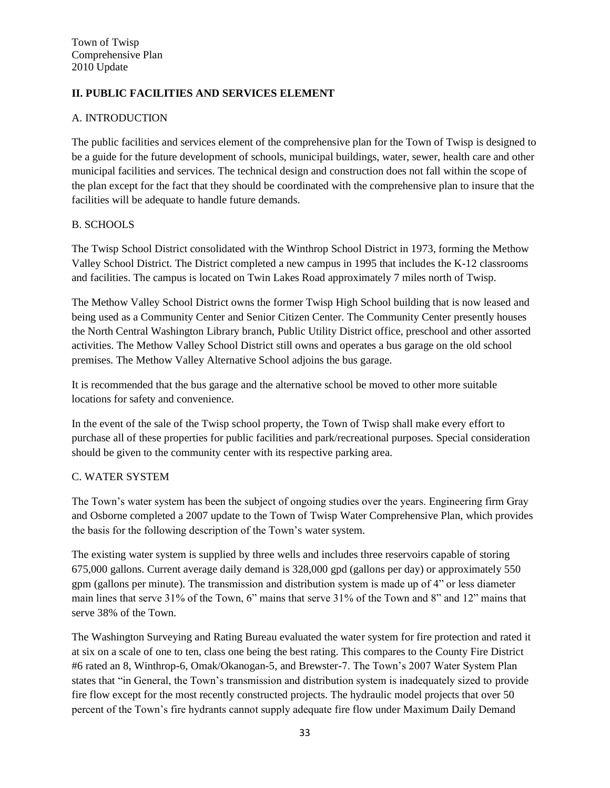# **II. PUBLIC FACILITIES AND SERVICES ELEMENT**

## A. INTRODUCTION

The public facilities and services element of the comprehensive plan for the Town of Twisp is designed to be a guide for the future development of schools, municipal buildings, water, sewer, health care and other municipal facilities and services. The technical design and construction does not fall within the scope of the plan except for the fact that they should be coordinated with the comprehensive plan to insure that the facilities will be adequate to handle future demands.

## B. SCHOOLS

The Twisp School District consolidated with the Winthrop School District in 1973, forming the Methow Valley School District. The District completed a new campus in 1995 that includes the K-12 classrooms and facilities. The campus is located on Twin Lakes Road approximately 7 miles north of Twisp.

The Methow Valley School District owns the former Twisp High School building that is now leased and being used as a Community Center and Senior Citizen Center. The Community Center presently houses the North Central Washington Library branch, Public Utility District office, preschool and other assorted activities. The Methow Valley School District still owns and operates a bus garage on the old school premises. The Methow Valley Alternative School adjoins the bus garage.

It is recommended that the bus garage and the alternative school be moved to other more suitable locations for safety and convenience.

In the event of the sale of the Twisp school property, the Town of Twisp shall make every effort to purchase all of these properties for public facilities and park/recreational purposes. Special consideration should be given to the community center with its respective parking area.

#### C. WATER SYSTEM

The Town's water system has been the subject of ongoing studies over the years. Engineering firm Gray and Osborne completed a 2007 update to the Town of Twisp Water Comprehensive Plan, which provides the basis for the following description of the Town's water system.

The existing water system is supplied by three wells and includes three reservoirs capable of storing 675,000 gallons. Current average daily demand is 328,000 gpd (gallons per day) or approximately 550 gpm (gallons per minute). The transmission and distribution system is made up of 4" or less diameter main lines that serve 31% of the Town, 6" mains that serve 31% of the Town and 8" and 12" mains that serve 38% of the Town.

The Washington Surveying and Rating Bureau evaluated the water system for fire protection and rated it at six on a scale of one to ten, class one being the best rating. This compares to the County Fire District #6 rated an 8, Winthrop-6, Omak/Okanogan-5, and Brewster-7. The Town's 2007 Water System Plan states that "in General, the Town's transmission and distribution system is inadequately sized to provide fire flow except for the most recently constructed projects. The hydraulic model projects that over 50 percent of the Town's fire hydrants cannot supply adequate fire flow under Maximum Daily Demand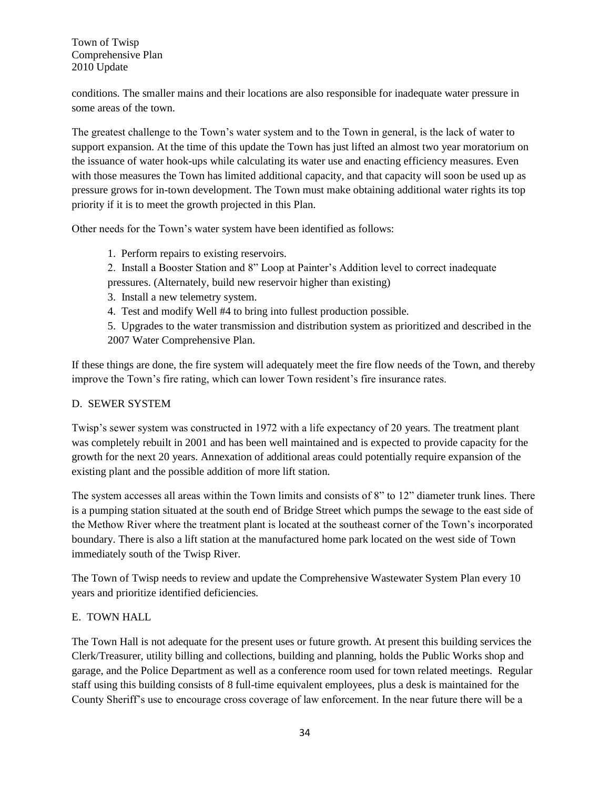conditions. The smaller mains and their locations are also responsible for inadequate water pressure in some areas of the town.

The greatest challenge to the Town's water system and to the Town in general, is the lack of water to support expansion. At the time of this update the Town has just lifted an almost two year moratorium on the issuance of water hook-ups while calculating its water use and enacting efficiency measures. Even with those measures the Town has limited additional capacity, and that capacity will soon be used up as pressure grows for in-town development. The Town must make obtaining additional water rights its top priority if it is to meet the growth projected in this Plan.

Other needs for the Town's water system have been identified as follows:

- 1. Perform repairs to existing reservoirs.
- 2. Install a Booster Station and 8" Loop at Painter's Addition level to correct inadequate pressures. (Alternately, build new reservoir higher than existing)
- 3. Install a new telemetry system.
- 4. Test and modify Well #4 to bring into fullest production possible.

5. Upgrades to the water transmission and distribution system as prioritized and described in the 2007 Water Comprehensive Plan.

If these things are done, the fire system will adequately meet the fire flow needs of the Town, and thereby improve the Town's fire rating, which can lower Town resident's fire insurance rates.

#### D. SEWER SYSTEM

Twisp's sewer system was constructed in 1972 with a life expectancy of 20 years. The treatment plant was completely rebuilt in 2001 and has been well maintained and is expected to provide capacity for the growth for the next 20 years. Annexation of additional areas could potentially require expansion of the existing plant and the possible addition of more lift station.

The system accesses all areas within the Town limits and consists of 8" to 12" diameter trunk lines. There is a pumping station situated at the south end of Bridge Street which pumps the sewage to the east side of the Methow River where the treatment plant is located at the southeast corner of the Town's incorporated boundary. There is also a lift station at the manufactured home park located on the west side of Town immediately south of the Twisp River.

The Town of Twisp needs to review and update the Comprehensive Wastewater System Plan every 10 years and prioritize identified deficiencies.

## E. TOWN HALL

The Town Hall is not adequate for the present uses or future growth. At present this building services the Clerk/Treasurer, utility billing and collections, building and planning, holds the Public Works shop and garage, and the Police Department as well as a conference room used for town related meetings. Regular staff using this building consists of 8 full-time equivalent employees, plus a desk is maintained for the County Sheriff's use to encourage cross coverage of law enforcement. In the near future there will be a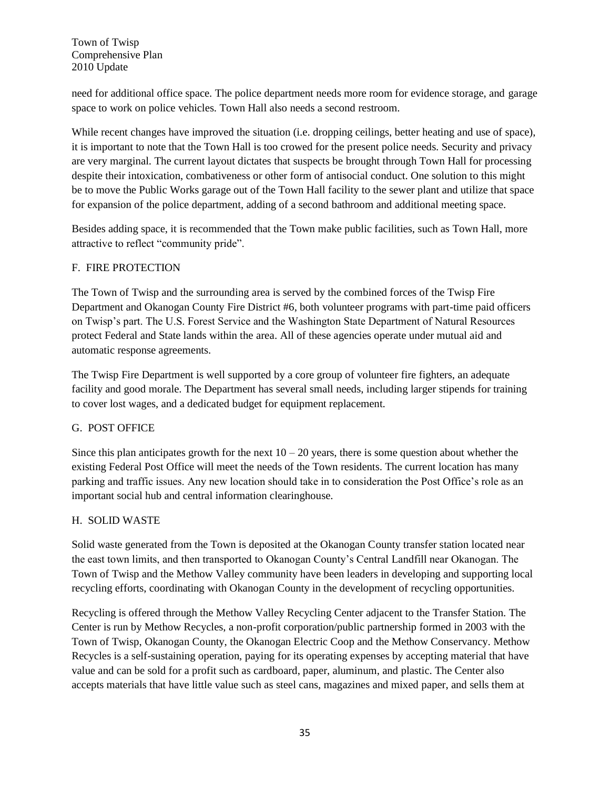need for additional office space. The police department needs more room for evidence storage, and garage space to work on police vehicles. Town Hall also needs a second restroom.

While recent changes have improved the situation (i.e. dropping ceilings, better heating and use of space), it is important to note that the Town Hall is too crowed for the present police needs. Security and privacy are very marginal. The current layout dictates that suspects be brought through Town Hall for processing despite their intoxication, combativeness or other form of antisocial conduct. One solution to this might be to move the Public Works garage out of the Town Hall facility to the sewer plant and utilize that space for expansion of the police department, adding of a second bathroom and additional meeting space.

Besides adding space, it is recommended that the Town make public facilities, such as Town Hall, more attractive to reflect "community pride".

## F. FIRE PROTECTION

The Town of Twisp and the surrounding area is served by the combined forces of the Twisp Fire Department and Okanogan County Fire District #6, both volunteer programs with part-time paid officers on Twisp's part. The U.S. Forest Service and the Washington State Department of Natural Resources protect Federal and State lands within the area. All of these agencies operate under mutual aid and automatic response agreements.

The Twisp Fire Department is well supported by a core group of volunteer fire fighters, an adequate facility and good morale. The Department has several small needs, including larger stipends for training to cover lost wages, and a dedicated budget for equipment replacement.

## G. POST OFFICE

Since this plan anticipates growth for the next  $10 - 20$  years, there is some question about whether the existing Federal Post Office will meet the needs of the Town residents. The current location has many parking and traffic issues. Any new location should take in to consideration the Post Office's role as an important social hub and central information clearinghouse.

## H. SOLID WASTE

Solid waste generated from the Town is deposited at the Okanogan County transfer station located near the east town limits, and then transported to Okanogan County's Central Landfill near Okanogan. The Town of Twisp and the Methow Valley community have been leaders in developing and supporting local recycling efforts, coordinating with Okanogan County in the development of recycling opportunities.

Recycling is offered through the Methow Valley Recycling Center adjacent to the Transfer Station. The Center is run by Methow Recycles, a non-profit corporation/public partnership formed in 2003 with the Town of Twisp, Okanogan County, the Okanogan Electric Coop and the Methow Conservancy. Methow Recycles is a self-sustaining operation, paying for its operating expenses by accepting material that have value and can be sold for a profit such as cardboard, paper, aluminum, and plastic. The Center also accepts materials that have little value such as steel cans, magazines and mixed paper, and sells them at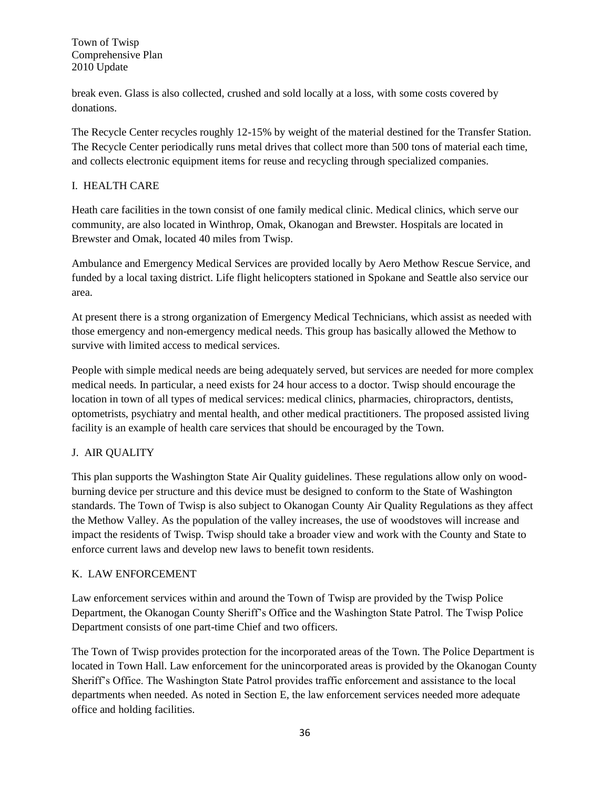break even. Glass is also collected, crushed and sold locally at a loss, with some costs covered by donations.

The Recycle Center recycles roughly 12-15% by weight of the material destined for the Transfer Station. The Recycle Center periodically runs metal drives that collect more than 500 tons of material each time, and collects electronic equipment items for reuse and recycling through specialized companies.

## I. HEALTH CARE

Heath care facilities in the town consist of one family medical clinic. Medical clinics, which serve our community, are also located in Winthrop, Omak, Okanogan and Brewster. Hospitals are located in Brewster and Omak, located 40 miles from Twisp.

Ambulance and Emergency Medical Services are provided locally by Aero Methow Rescue Service, and funded by a local taxing district. Life flight helicopters stationed in Spokane and Seattle also service our area.

At present there is a strong organization of Emergency Medical Technicians, which assist as needed with those emergency and non-emergency medical needs. This group has basically allowed the Methow to survive with limited access to medical services.

People with simple medical needs are being adequately served, but services are needed for more complex medical needs. In particular, a need exists for 24 hour access to a doctor. Twisp should encourage the location in town of all types of medical services: medical clinics, pharmacies, chiropractors, dentists, optometrists, psychiatry and mental health, and other medical practitioners. The proposed assisted living facility is an example of health care services that should be encouraged by the Town.

## J. AIR QUALITY

This plan supports the Washington State Air Quality guidelines. These regulations allow only on woodburning device per structure and this device must be designed to conform to the State of Washington standards. The Town of Twisp is also subject to Okanogan County Air Quality Regulations as they affect the Methow Valley. As the population of the valley increases, the use of woodstoves will increase and impact the residents of Twisp. Twisp should take a broader view and work with the County and State to enforce current laws and develop new laws to benefit town residents.

## K. LAW ENFORCEMENT

Law enforcement services within and around the Town of Twisp are provided by the Twisp Police Department, the Okanogan County Sheriff's Office and the Washington State Patrol. The Twisp Police Department consists of one part-time Chief and two officers.

The Town of Twisp provides protection for the incorporated areas of the Town. The Police Department is located in Town Hall. Law enforcement for the unincorporated areas is provided by the Okanogan County Sheriff's Office. The Washington State Patrol provides traffic enforcement and assistance to the local departments when needed. As noted in Section E, the law enforcement services needed more adequate office and holding facilities.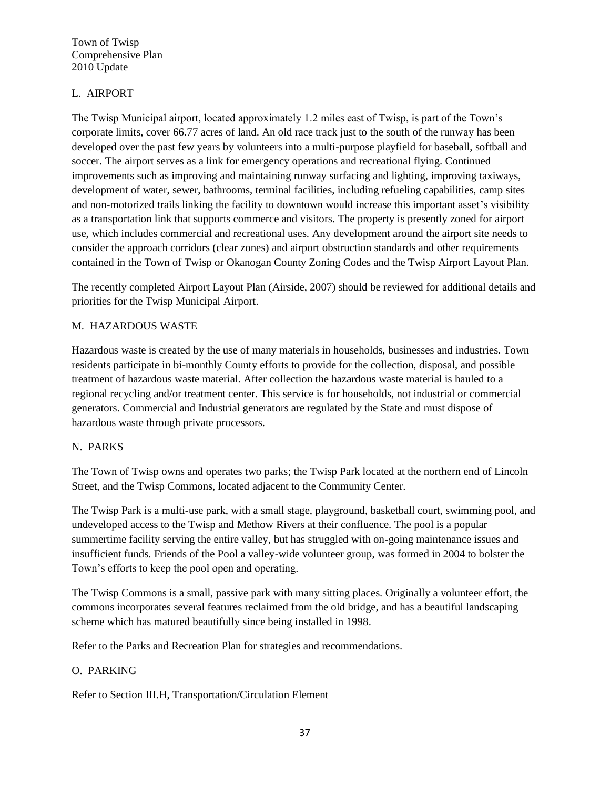## L. AIRPORT

The Twisp Municipal airport, located approximately 1.2 miles east of Twisp, is part of the Town's corporate limits, cover 66.77 acres of land. An old race track just to the south of the runway has been developed over the past few years by volunteers into a multi-purpose playfield for baseball, softball and soccer. The airport serves as a link for emergency operations and recreational flying. Continued improvements such as improving and maintaining runway surfacing and lighting, improving taxiways, development of water, sewer, bathrooms, terminal facilities, including refueling capabilities, camp sites and non-motorized trails linking the facility to downtown would increase this important asset's visibility as a transportation link that supports commerce and visitors. The property is presently zoned for airport use, which includes commercial and recreational uses. Any development around the airport site needs to consider the approach corridors (clear zones) and airport obstruction standards and other requirements contained in the Town of Twisp or Okanogan County Zoning Codes and the Twisp Airport Layout Plan.

The recently completed Airport Layout Plan (Airside, 2007) should be reviewed for additional details and priorities for the Twisp Municipal Airport.

## M. HAZARDOUS WASTE

Hazardous waste is created by the use of many materials in households, businesses and industries. Town residents participate in bi-monthly County efforts to provide for the collection, disposal, and possible treatment of hazardous waste material. After collection the hazardous waste material is hauled to a regional recycling and/or treatment center. This service is for households, not industrial or commercial generators. Commercial and Industrial generators are regulated by the State and must dispose of hazardous waste through private processors.

## N. PARKS

The Town of Twisp owns and operates two parks; the Twisp Park located at the northern end of Lincoln Street, and the Twisp Commons, located adjacent to the Community Center.

The Twisp Park is a multi-use park, with a small stage, playground, basketball court, swimming pool, and undeveloped access to the Twisp and Methow Rivers at their confluence. The pool is a popular summertime facility serving the entire valley, but has struggled with on-going maintenance issues and insufficient funds. Friends of the Pool a valley-wide volunteer group, was formed in 2004 to bolster the Town's efforts to keep the pool open and operating.

The Twisp Commons is a small, passive park with many sitting places. Originally a volunteer effort, the commons incorporates several features reclaimed from the old bridge, and has a beautiful landscaping scheme which has matured beautifully since being installed in 1998.

Refer to the Parks and Recreation Plan for strategies and recommendations.

## O. PARKING

Refer to Section III.H, Transportation/Circulation Element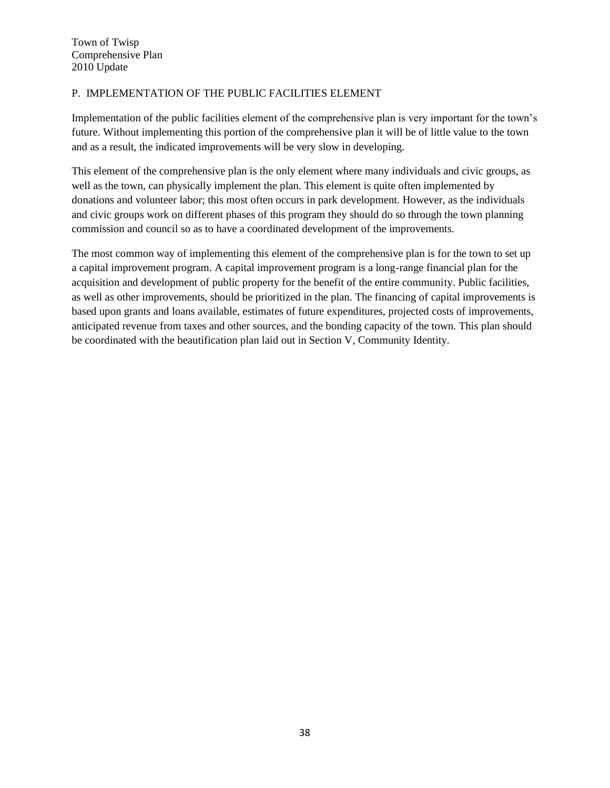## P. IMPLEMENTATION OF THE PUBLIC FACILITIES ELEMENT

Implementation of the public facilities element of the comprehensive plan is very important for the town's future. Without implementing this portion of the comprehensive plan it will be of little value to the town and as a result, the indicated improvements will be very slow in developing.

This element of the comprehensive plan is the only element where many individuals and civic groups, as well as the town, can physically implement the plan. This element is quite often implemented by donations and volunteer labor; this most often occurs in park development. However, as the individuals and civic groups work on different phases of this program they should do so through the town planning commission and council so as to have a coordinated development of the improvements.

The most common way of implementing this element of the comprehensive plan is for the town to set up a capital improvement program. A capital improvement program is a long-range financial plan for the acquisition and development of public property for the benefit of the entire community. Public facilities, as well as other improvements, should be prioritized in the plan. The financing of capital improvements is based upon grants and loans available, estimates of future expenditures, projected costs of improvements, anticipated revenue from taxes and other sources, and the bonding capacity of the town. This plan should be coordinated with the beautification plan laid out in Section V, Community Identity.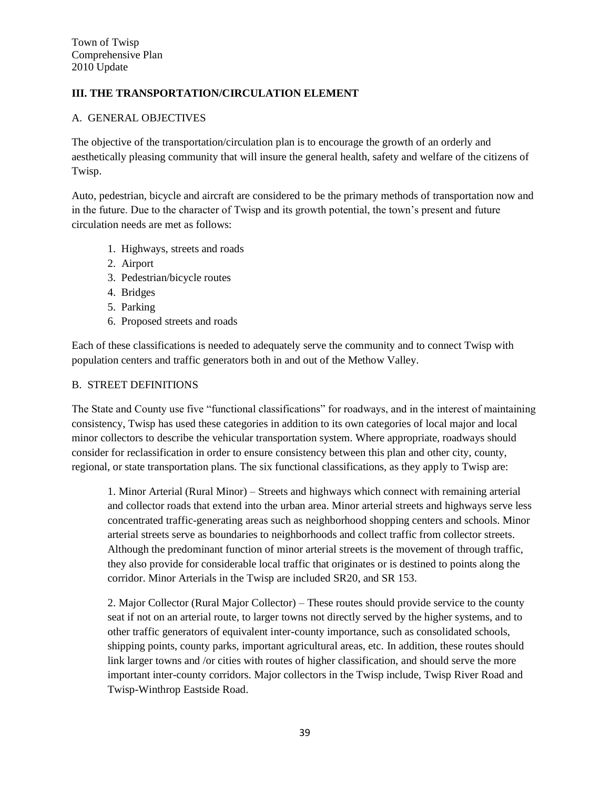# **III. THE TRANSPORTATION/CIRCULATION ELEMENT**

#### A. GENERAL OBJECTIVES

The objective of the transportation/circulation plan is to encourage the growth of an orderly and aesthetically pleasing community that will insure the general health, safety and welfare of the citizens of Twisp.

Auto, pedestrian, bicycle and aircraft are considered to be the primary methods of transportation now and in the future. Due to the character of Twisp and its growth potential, the town's present and future circulation needs are met as follows:

- 1. Highways, streets and roads
- 2. Airport
- 3. Pedestrian/bicycle routes
- 4. Bridges
- 5. Parking
- 6. Proposed streets and roads

Each of these classifications is needed to adequately serve the community and to connect Twisp with population centers and traffic generators both in and out of the Methow Valley.

#### B. STREET DEFINITIONS

The State and County use five "functional classifications" for roadways, and in the interest of maintaining consistency, Twisp has used these categories in addition to its own categories of local major and local minor collectors to describe the vehicular transportation system. Where appropriate, roadways should consider for reclassification in order to ensure consistency between this plan and other city, county, regional, or state transportation plans. The six functional classifications, as they apply to Twisp are:

1. Minor Arterial (Rural Minor) – Streets and highways which connect with remaining arterial and collector roads that extend into the urban area. Minor arterial streets and highways serve less concentrated traffic-generating areas such as neighborhood shopping centers and schools. Minor arterial streets serve as boundaries to neighborhoods and collect traffic from collector streets. Although the predominant function of minor arterial streets is the movement of through traffic, they also provide for considerable local traffic that originates or is destined to points along the corridor. Minor Arterials in the Twisp are included SR20, and SR 153.

2. Major Collector (Rural Major Collector) – These routes should provide service to the county seat if not on an arterial route, to larger towns not directly served by the higher systems, and to other traffic generators of equivalent inter-county importance, such as consolidated schools, shipping points, county parks, important agricultural areas, etc. In addition, these routes should link larger towns and /or cities with routes of higher classification, and should serve the more important inter-county corridors. Major collectors in the Twisp include, Twisp River Road and Twisp-Winthrop Eastside Road.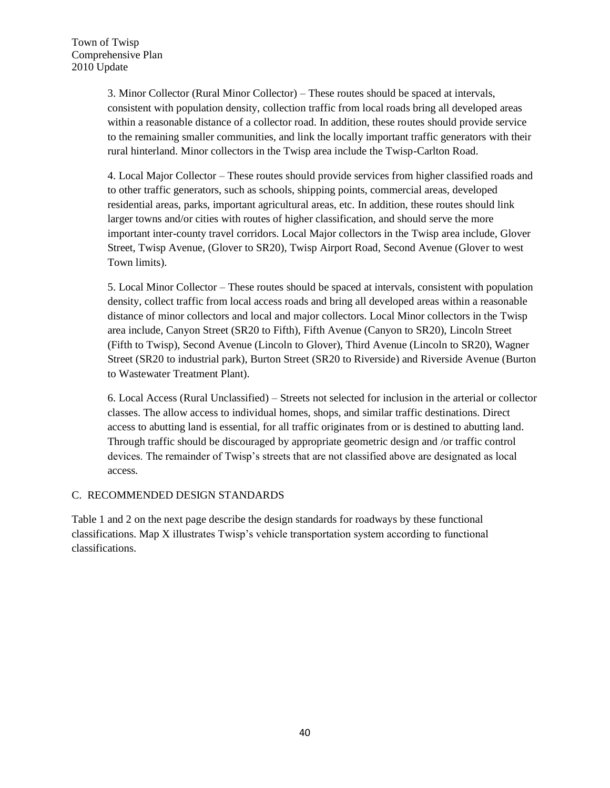3. Minor Collector (Rural Minor Collector) – These routes should be spaced at intervals, consistent with population density, collection traffic from local roads bring all developed areas within a reasonable distance of a collector road. In addition, these routes should provide service to the remaining smaller communities, and link the locally important traffic generators with their rural hinterland. Minor collectors in the Twisp area include the Twisp-Carlton Road.

4. Local Major Collector – These routes should provide services from higher classified roads and to other traffic generators, such as schools, shipping points, commercial areas, developed residential areas, parks, important agricultural areas, etc. In addition, these routes should link larger towns and/or cities with routes of higher classification, and should serve the more important inter-county travel corridors. Local Major collectors in the Twisp area include, Glover Street, Twisp Avenue, (Glover to SR20), Twisp Airport Road, Second Avenue (Glover to west Town limits).

5. Local Minor Collector – These routes should be spaced at intervals, consistent with population density, collect traffic from local access roads and bring all developed areas within a reasonable distance of minor collectors and local and major collectors. Local Minor collectors in the Twisp area include, Canyon Street (SR20 to Fifth), Fifth Avenue (Canyon to SR20), Lincoln Street (Fifth to Twisp), Second Avenue (Lincoln to Glover), Third Avenue (Lincoln to SR20), Wagner Street (SR20 to industrial park), Burton Street (SR20 to Riverside) and Riverside Avenue (Burton to Wastewater Treatment Plant).

6. Local Access (Rural Unclassified) – Streets not selected for inclusion in the arterial or collector classes. The allow access to individual homes, shops, and similar traffic destinations. Direct access to abutting land is essential, for all traffic originates from or is destined to abutting land. Through traffic should be discouraged by appropriate geometric design and /or traffic control devices. The remainder of Twisp's streets that are not classified above are designated as local access.

## C. RECOMMENDED DESIGN STANDARDS

Table 1 and 2 on the next page describe the design standards for roadways by these functional classifications. Map X illustrates Twisp's vehicle transportation system according to functional classifications.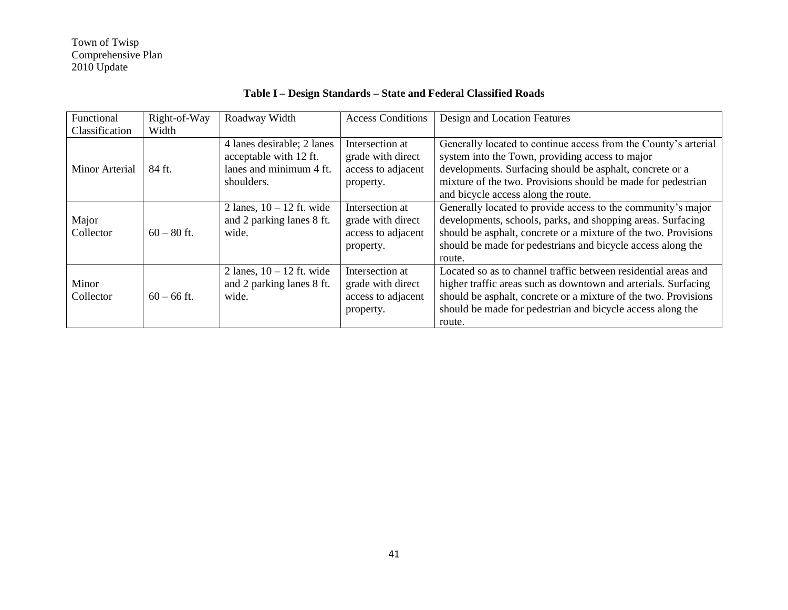| Functional<br>Classification | Right-of-Way<br>Width | Roadway Width                                                                                 | <b>Access Conditions</b>                                                | Design and Location Features                                                                                                                                                                                                                                                          |
|------------------------------|-----------------------|-----------------------------------------------------------------------------------------------|-------------------------------------------------------------------------|---------------------------------------------------------------------------------------------------------------------------------------------------------------------------------------------------------------------------------------------------------------------------------------|
| Minor Arterial               | 84 ft.                | 4 lanes desirable; 2 lanes<br>acceptable with 12 ft.<br>lanes and minimum 4 ft.<br>shoulders. | Intersection at<br>grade with direct<br>access to adjacent<br>property. | Generally located to continue access from the County's arterial<br>system into the Town, providing access to major<br>developments. Surfacing should be asphalt, concrete or a<br>mixture of the two. Provisions should be made for pedestrian<br>and bicycle access along the route. |
| Major<br>Collector           | $60 - 80$ ft.         | 2 lanes, $10 - 12$ ft. wide<br>and 2 parking lanes 8 ft.<br>wide.                             | Intersection at<br>grade with direct<br>access to adjacent<br>property. | Generally located to provide access to the community's major<br>developments, schools, parks, and shopping areas. Surfacing<br>should be asphalt, concrete or a mixture of the two. Provisions<br>should be made for pedestrians and bicycle access along the<br>route.               |
| Minor<br>Collector           | $60 - 66$ ft.         | 2 lanes, $10 - 12$ ft. wide<br>and 2 parking lanes 8 ft.<br>wide.                             | Intersection at<br>grade with direct<br>access to adjacent<br>property. | Located so as to channel traffic between residential areas and<br>higher traffic areas such as downtown and arterials. Surfacing<br>should be asphalt, concrete or a mixture of the two. Provisions<br>should be made for pedestrian and bicycle access along the<br>route.           |

# **Table I – Design Standards – State and Federal Classified Roads**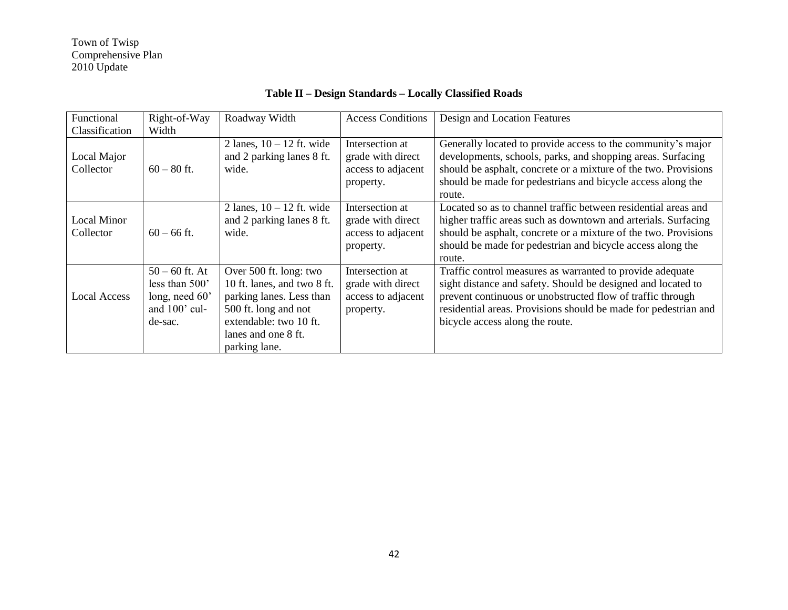| Functional<br>Classification | Right-of-Way<br>Width                                                            | Roadway Width                                                                                                                                                               | <b>Access Conditions</b>                                                | Design and Location Features                                                                                                                                                                                                                                                                  |
|------------------------------|----------------------------------------------------------------------------------|-----------------------------------------------------------------------------------------------------------------------------------------------------------------------------|-------------------------------------------------------------------------|-----------------------------------------------------------------------------------------------------------------------------------------------------------------------------------------------------------------------------------------------------------------------------------------------|
| Local Major<br>Collector     | $60 - 80$ ft.                                                                    | 2 lanes, $10 - 12$ ft. wide<br>and 2 parking lanes 8 ft.<br>wide.                                                                                                           | Intersection at<br>grade with direct<br>access to adjacent<br>property. | Generally located to provide access to the community's major<br>developments, schools, parks, and shopping areas. Surfacing<br>should be asphalt, concrete or a mixture of the two. Provisions<br>should be made for pedestrians and bicycle access along the<br>route.                       |
| Local Minor<br>Collector     | $60 - 66$ ft.                                                                    | 2 lanes, $10 - 12$ ft. wide<br>and 2 parking lanes 8 ft.<br>wide.                                                                                                           | Intersection at<br>grade with direct<br>access to adjacent<br>property. | Located so as to channel traffic between residential areas and<br>higher traffic areas such as downtown and arterials. Surfacing<br>should be asphalt, concrete or a mixture of the two. Provisions<br>should be made for pedestrian and bicycle access along the<br>route.                   |
| <b>Local Access</b>          | $50 - 60$ ft. At<br>less than 500'<br>long, need 60'<br>and 100' cul-<br>de-sac. | Over 500 ft. long: two<br>10 ft. lanes, and two 8 ft.<br>parking lanes. Less than<br>500 ft. long and not<br>extendable: two 10 ft.<br>lanes and one 8 ft.<br>parking lane. | Intersection at<br>grade with direct<br>access to adjacent<br>property. | Traffic control measures as warranted to provide adequate<br>sight distance and safety. Should be designed and located to<br>prevent continuous or unobstructed flow of traffic through<br>residential areas. Provisions should be made for pedestrian and<br>bicycle access along the route. |

# **Table II – Design Standards – Locally Classified Roads**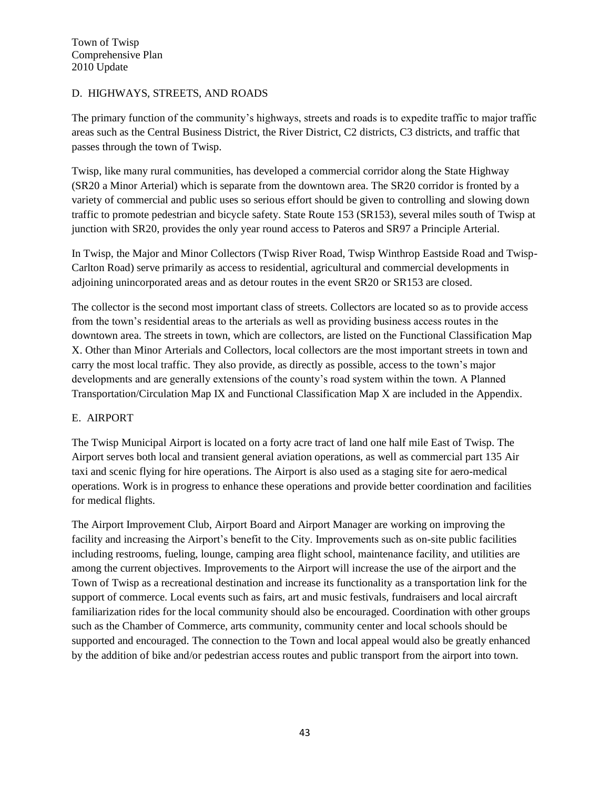## D. HIGHWAYS, STREETS, AND ROADS

The primary function of the community's highways, streets and roads is to expedite traffic to major traffic areas such as the Central Business District, the River District, C2 districts, C3 districts, and traffic that passes through the town of Twisp.

Twisp, like many rural communities, has developed a commercial corridor along the State Highway (SR20 a Minor Arterial) which is separate from the downtown area. The SR20 corridor is fronted by a variety of commercial and public uses so serious effort should be given to controlling and slowing down traffic to promote pedestrian and bicycle safety. State Route 153 (SR153), several miles south of Twisp at junction with SR20, provides the only year round access to Pateros and SR97 a Principle Arterial.

In Twisp, the Major and Minor Collectors (Twisp River Road, Twisp Winthrop Eastside Road and Twisp-Carlton Road) serve primarily as access to residential, agricultural and commercial developments in adjoining unincorporated areas and as detour routes in the event SR20 or SR153 are closed.

The collector is the second most important class of streets. Collectors are located so as to provide access from the town's residential areas to the arterials as well as providing business access routes in the downtown area. The streets in town, which are collectors, are listed on the Functional Classification Map X. Other than Minor Arterials and Collectors, local collectors are the most important streets in town and carry the most local traffic. They also provide, as directly as possible, access to the town's major developments and are generally extensions of the county's road system within the town. A Planned Transportation/Circulation Map IX and Functional Classification Map X are included in the Appendix.

## E. AIRPORT

The Twisp Municipal Airport is located on a forty acre tract of land one half mile East of Twisp. The Airport serves both local and transient general aviation operations, as well as commercial part 135 Air taxi and scenic flying for hire operations. The Airport is also used as a staging site for aero-medical operations. Work is in progress to enhance these operations and provide better coordination and facilities for medical flights.

The Airport Improvement Club, Airport Board and Airport Manager are working on improving the facility and increasing the Airport's benefit to the City. Improvements such as on-site public facilities including restrooms, fueling, lounge, camping area flight school, maintenance facility, and utilities are among the current objectives. Improvements to the Airport will increase the use of the airport and the Town of Twisp as a recreational destination and increase its functionality as a transportation link for the support of commerce. Local events such as fairs, art and music festivals, fundraisers and local aircraft familiarization rides for the local community should also be encouraged. Coordination with other groups such as the Chamber of Commerce, arts community, community center and local schools should be supported and encouraged. The connection to the Town and local appeal would also be greatly enhanced by the addition of bike and/or pedestrian access routes and public transport from the airport into town.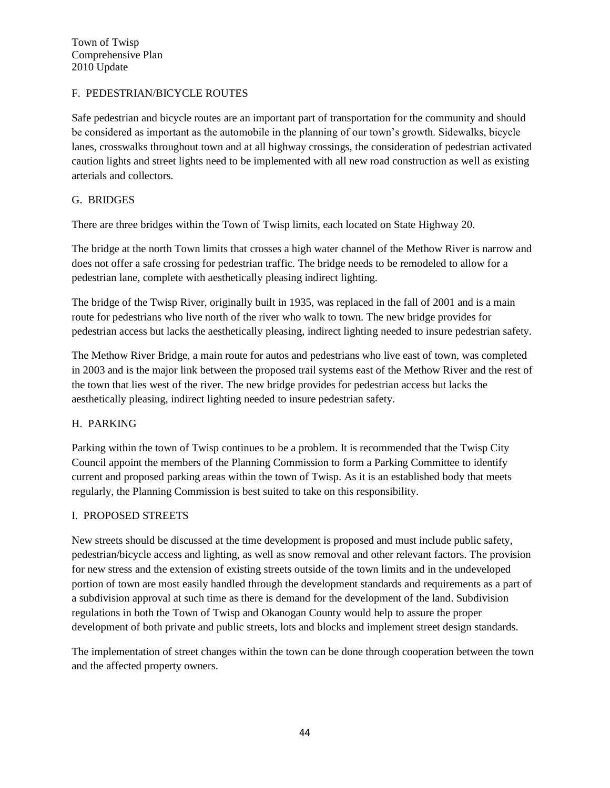## F. PEDESTRIAN/BICYCLE ROUTES

Safe pedestrian and bicycle routes are an important part of transportation for the community and should be considered as important as the automobile in the planning of our town's growth. Sidewalks, bicycle lanes, crosswalks throughout town and at all highway crossings, the consideration of pedestrian activated caution lights and street lights need to be implemented with all new road construction as well as existing arterials and collectors.

## G. BRIDGES

There are three bridges within the Town of Twisp limits, each located on State Highway 20.

The bridge at the north Town limits that crosses a high water channel of the Methow River is narrow and does not offer a safe crossing for pedestrian traffic. The bridge needs to be remodeled to allow for a pedestrian lane, complete with aesthetically pleasing indirect lighting.

The bridge of the Twisp River, originally built in 1935, was replaced in the fall of 2001 and is a main route for pedestrians who live north of the river who walk to town. The new bridge provides for pedestrian access but lacks the aesthetically pleasing, indirect lighting needed to insure pedestrian safety.

The Methow River Bridge, a main route for autos and pedestrians who live east of town, was completed in 2003 and is the major link between the proposed trail systems east of the Methow River and the rest of the town that lies west of the river. The new bridge provides for pedestrian access but lacks the aesthetically pleasing, indirect lighting needed to insure pedestrian safety.

#### H. PARKING

Parking within the town of Twisp continues to be a problem. It is recommended that the Twisp City Council appoint the members of the Planning Commission to form a Parking Committee to identify current and proposed parking areas within the town of Twisp. As it is an established body that meets regularly, the Planning Commission is best suited to take on this responsibility.

#### I. PROPOSED STREETS

New streets should be discussed at the time development is proposed and must include public safety, pedestrian/bicycle access and lighting, as well as snow removal and other relevant factors. The provision for new stress and the extension of existing streets outside of the town limits and in the undeveloped portion of town are most easily handled through the development standards and requirements as a part of a subdivision approval at such time as there is demand for the development of the land. Subdivision regulations in both the Town of Twisp and Okanogan County would help to assure the proper development of both private and public streets, lots and blocks and implement street design standards.

The implementation of street changes within the town can be done through cooperation between the town and the affected property owners.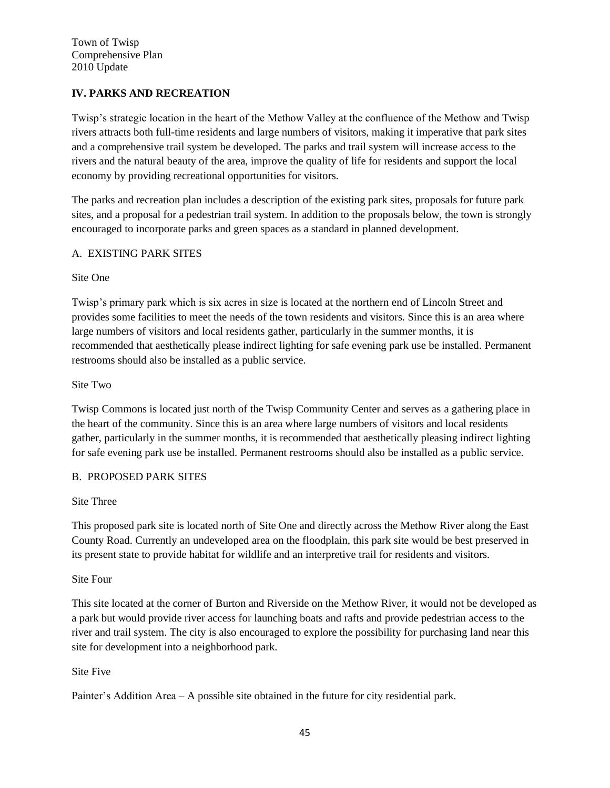# **IV. PARKS AND RECREATION**

Twisp's strategic location in the heart of the Methow Valley at the confluence of the Methow and Twisp rivers attracts both full-time residents and large numbers of visitors, making it imperative that park sites and a comprehensive trail system be developed. The parks and trail system will increase access to the rivers and the natural beauty of the area, improve the quality of life for residents and support the local economy by providing recreational opportunities for visitors.

The parks and recreation plan includes a description of the existing park sites, proposals for future park sites, and a proposal for a pedestrian trail system. In addition to the proposals below, the town is strongly encouraged to incorporate parks and green spaces as a standard in planned development.

## A. EXISTING PARK SITES

## Site One

Twisp's primary park which is six acres in size is located at the northern end of Lincoln Street and provides some facilities to meet the needs of the town residents and visitors. Since this is an area where large numbers of visitors and local residents gather, particularly in the summer months, it is recommended that aesthetically please indirect lighting for safe evening park use be installed. Permanent restrooms should also be installed as a public service.

## Site Two

Twisp Commons is located just north of the Twisp Community Center and serves as a gathering place in the heart of the community. Since this is an area where large numbers of visitors and local residents gather, particularly in the summer months, it is recommended that aesthetically pleasing indirect lighting for safe evening park use be installed. Permanent restrooms should also be installed as a public service.

## B. PROPOSED PARK SITES

#### Site Three

This proposed park site is located north of Site One and directly across the Methow River along the East County Road. Currently an undeveloped area on the floodplain, this park site would be best preserved in its present state to provide habitat for wildlife and an interpretive trail for residents and visitors.

#### Site Four

This site located at the corner of Burton and Riverside on the Methow River, it would not be developed as a park but would provide river access for launching boats and rafts and provide pedestrian access to the river and trail system. The city is also encouraged to explore the possibility for purchasing land near this site for development into a neighborhood park.

## Site Five

Painter's Addition Area – A possible site obtained in the future for city residential park.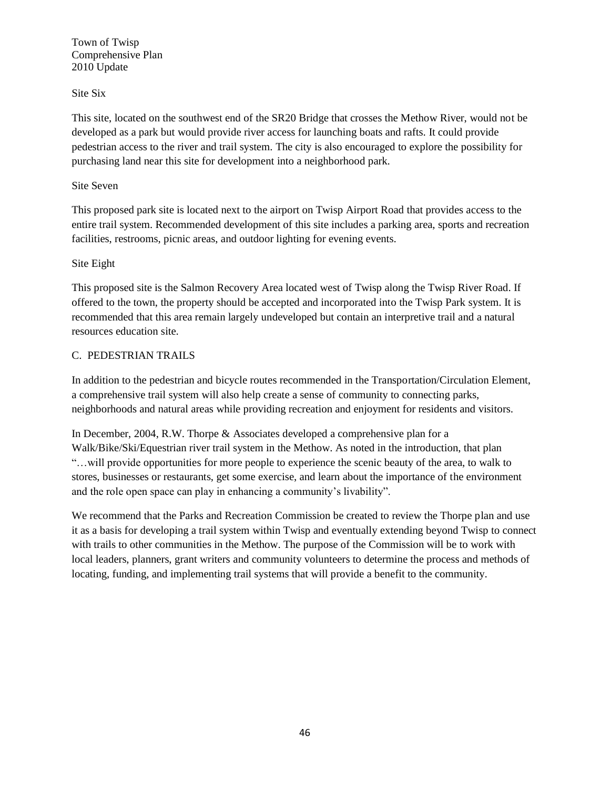Site Six

This site, located on the southwest end of the SR20 Bridge that crosses the Methow River, would not be developed as a park but would provide river access for launching boats and rafts. It could provide pedestrian access to the river and trail system. The city is also encouraged to explore the possibility for purchasing land near this site for development into a neighborhood park.

## Site Seven

This proposed park site is located next to the airport on Twisp Airport Road that provides access to the entire trail system. Recommended development of this site includes a parking area, sports and recreation facilities, restrooms, picnic areas, and outdoor lighting for evening events.

## Site Eight

This proposed site is the Salmon Recovery Area located west of Twisp along the Twisp River Road. If offered to the town, the property should be accepted and incorporated into the Twisp Park system. It is recommended that this area remain largely undeveloped but contain an interpretive trail and a natural resources education site.

## C. PEDESTRIAN TRAILS

In addition to the pedestrian and bicycle routes recommended in the Transportation/Circulation Element, a comprehensive trail system will also help create a sense of community to connecting parks, neighborhoods and natural areas while providing recreation and enjoyment for residents and visitors.

In December, 2004, R.W. Thorpe & Associates developed a comprehensive plan for a Walk/Bike/Ski/Equestrian river trail system in the Methow. As noted in the introduction, that plan "…will provide opportunities for more people to experience the scenic beauty of the area, to walk to stores, businesses or restaurants, get some exercise, and learn about the importance of the environment and the role open space can play in enhancing a community's livability".

We recommend that the Parks and Recreation Commission be created to review the Thorpe plan and use it as a basis for developing a trail system within Twisp and eventually extending beyond Twisp to connect with trails to other communities in the Methow. The purpose of the Commission will be to work with local leaders, planners, grant writers and community volunteers to determine the process and methods of locating, funding, and implementing trail systems that will provide a benefit to the community.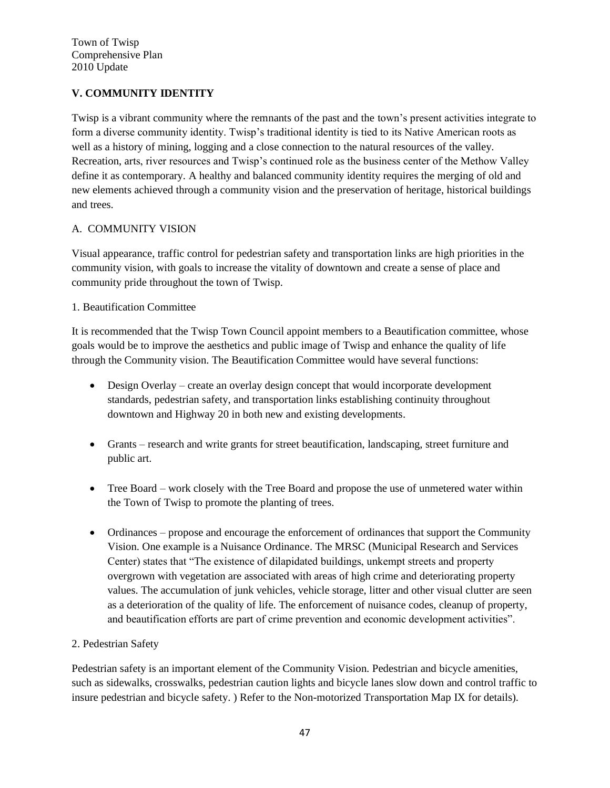# **V. COMMUNITY IDENTITY**

Twisp is a vibrant community where the remnants of the past and the town's present activities integrate to form a diverse community identity. Twisp's traditional identity is tied to its Native American roots as well as a history of mining, logging and a close connection to the natural resources of the valley. Recreation, arts, river resources and Twisp's continued role as the business center of the Methow Valley define it as contemporary. A healthy and balanced community identity requires the merging of old and new elements achieved through a community vision and the preservation of heritage, historical buildings and trees.

## A. COMMUNITY VISION

Visual appearance, traffic control for pedestrian safety and transportation links are high priorities in the community vision, with goals to increase the vitality of downtown and create a sense of place and community pride throughout the town of Twisp.

## 1. Beautification Committee

It is recommended that the Twisp Town Council appoint members to a Beautification committee, whose goals would be to improve the aesthetics and public image of Twisp and enhance the quality of life through the Community vision. The Beautification Committee would have several functions:

- Design Overlay create an overlay design concept that would incorporate development standards, pedestrian safety, and transportation links establishing continuity throughout downtown and Highway 20 in both new and existing developments.
- Grants research and write grants for street beautification, landscaping, street furniture and public art.
- Tree Board work closely with the Tree Board and propose the use of unmetered water within the Town of Twisp to promote the planting of trees.
- Ordinances propose and encourage the enforcement of ordinances that support the Community Vision. One example is a Nuisance Ordinance. The MRSC (Municipal Research and Services Center) states that "The existence of dilapidated buildings, unkempt streets and property overgrown with vegetation are associated with areas of high crime and deteriorating property values. The accumulation of junk vehicles, vehicle storage, litter and other visual clutter are seen as a deterioration of the quality of life. The enforcement of nuisance codes, cleanup of property, and beautification efforts are part of crime prevention and economic development activities".

#### 2. Pedestrian Safety

Pedestrian safety is an important element of the Community Vision. Pedestrian and bicycle amenities, such as sidewalks, crosswalks, pedestrian caution lights and bicycle lanes slow down and control traffic to insure pedestrian and bicycle safety. ) Refer to the Non-motorized Transportation Map IX for details).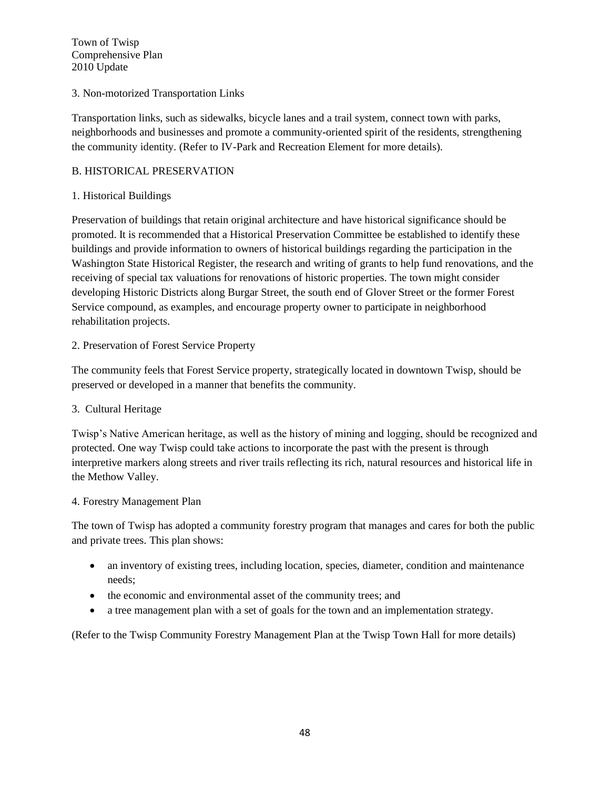## 3. Non-motorized Transportation Links

Transportation links, such as sidewalks, bicycle lanes and a trail system, connect town with parks, neighborhoods and businesses and promote a community-oriented spirit of the residents, strengthening the community identity. (Refer to IV-Park and Recreation Element for more details).

#### B. HISTORICAL PRESERVATION

#### 1. Historical Buildings

Preservation of buildings that retain original architecture and have historical significance should be promoted. It is recommended that a Historical Preservation Committee be established to identify these buildings and provide information to owners of historical buildings regarding the participation in the Washington State Historical Register, the research and writing of grants to help fund renovations, and the receiving of special tax valuations for renovations of historic properties. The town might consider developing Historic Districts along Burgar Street, the south end of Glover Street or the former Forest Service compound, as examples, and encourage property owner to participate in neighborhood rehabilitation projects.

## 2. Preservation of Forest Service Property

The community feels that Forest Service property, strategically located in downtown Twisp, should be preserved or developed in a manner that benefits the community.

## 3. Cultural Heritage

Twisp's Native American heritage, as well as the history of mining and logging, should be recognized and protected. One way Twisp could take actions to incorporate the past with the present is through interpretive markers along streets and river trails reflecting its rich, natural resources and historical life in the Methow Valley.

#### 4. Forestry Management Plan

The town of Twisp has adopted a community forestry program that manages and cares for both the public and private trees. This plan shows:

- an inventory of existing trees, including location, species, diameter, condition and maintenance needs;
- the economic and environmental asset of the community trees; and
- a tree management plan with a set of goals for the town and an implementation strategy.

(Refer to the Twisp Community Forestry Management Plan at the Twisp Town Hall for more details)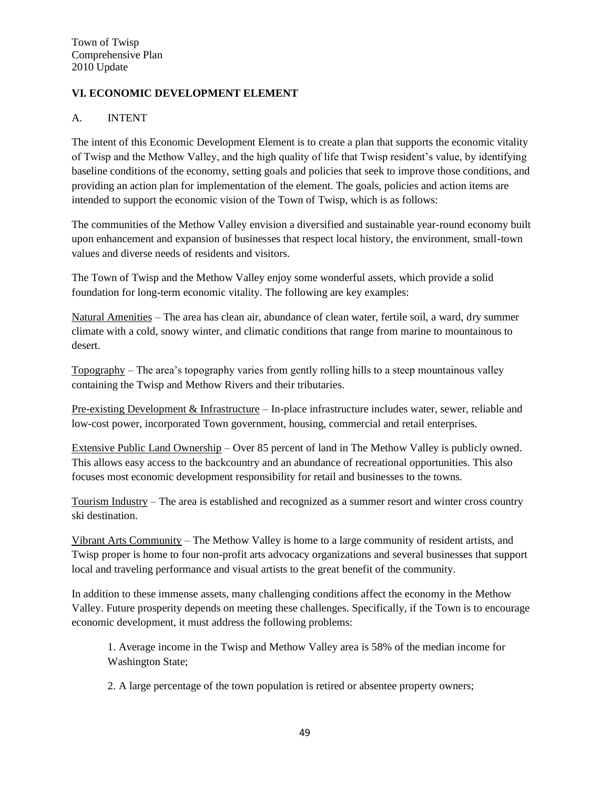# **VI. ECONOMIC DEVELOPMENT ELEMENT**

## A. INTENT

The intent of this Economic Development Element is to create a plan that supports the economic vitality of Twisp and the Methow Valley, and the high quality of life that Twisp resident's value, by identifying baseline conditions of the economy, setting goals and policies that seek to improve those conditions, and providing an action plan for implementation of the element. The goals, policies and action items are intended to support the economic vision of the Town of Twisp, which is as follows:

The communities of the Methow Valley envision a diversified and sustainable year-round economy built upon enhancement and expansion of businesses that respect local history, the environment, small-town values and diverse needs of residents and visitors.

The Town of Twisp and the Methow Valley enjoy some wonderful assets, which provide a solid foundation for long-term economic vitality. The following are key examples:

Natural Amenities – The area has clean air, abundance of clean water, fertile soil, a ward, dry summer climate with a cold, snowy winter, and climatic conditions that range from marine to mountainous to desert.

Topography – The area's topography varies from gently rolling hills to a steep mountainous valley containing the Twisp and Methow Rivers and their tributaries.

Pre-existing Development & Infrastructure – In-place infrastructure includes water, sewer, reliable and low-cost power, incorporated Town government, housing, commercial and retail enterprises.

Extensive Public Land Ownership – Over 85 percent of land in The Methow Valley is publicly owned. This allows easy access to the backcountry and an abundance of recreational opportunities. This also focuses most economic development responsibility for retail and businesses to the towns.

Tourism Industry – The area is established and recognized as a summer resort and winter cross country ski destination.

Vibrant Arts Community – The Methow Valley is home to a large community of resident artists, and Twisp proper is home to four non-profit arts advocacy organizations and several businesses that support local and traveling performance and visual artists to the great benefit of the community.

In addition to these immense assets, many challenging conditions affect the economy in the Methow Valley. Future prosperity depends on meeting these challenges. Specifically, if the Town is to encourage economic development, it must address the following problems:

1. Average income in the Twisp and Methow Valley area is 58% of the median income for Washington State;

2. A large percentage of the town population is retired or absentee property owners;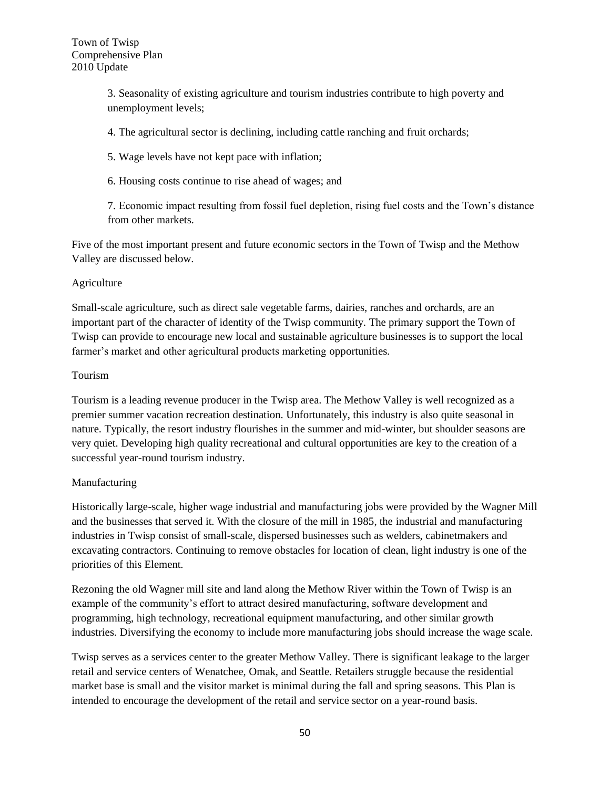3. Seasonality of existing agriculture and tourism industries contribute to high poverty and unemployment levels;

4. The agricultural sector is declining, including cattle ranching and fruit orchards;

5. Wage levels have not kept pace with inflation;

6. Housing costs continue to rise ahead of wages; and

7. Economic impact resulting from fossil fuel depletion, rising fuel costs and the Town's distance from other markets.

Five of the most important present and future economic sectors in the Town of Twisp and the Methow Valley are discussed below.

#### Agriculture

Small-scale agriculture, such as direct sale vegetable farms, dairies, ranches and orchards, are an important part of the character of identity of the Twisp community. The primary support the Town of Twisp can provide to encourage new local and sustainable agriculture businesses is to support the local farmer's market and other agricultural products marketing opportunities.

## Tourism

Tourism is a leading revenue producer in the Twisp area. The Methow Valley is well recognized as a premier summer vacation recreation destination. Unfortunately, this industry is also quite seasonal in nature. Typically, the resort industry flourishes in the summer and mid-winter, but shoulder seasons are very quiet. Developing high quality recreational and cultural opportunities are key to the creation of a successful year-round tourism industry.

## Manufacturing

Historically large-scale, higher wage industrial and manufacturing jobs were provided by the Wagner Mill and the businesses that served it. With the closure of the mill in 1985, the industrial and manufacturing industries in Twisp consist of small-scale, dispersed businesses such as welders, cabinetmakers and excavating contractors. Continuing to remove obstacles for location of clean, light industry is one of the priorities of this Element.

Rezoning the old Wagner mill site and land along the Methow River within the Town of Twisp is an example of the community's effort to attract desired manufacturing, software development and programming, high technology, recreational equipment manufacturing, and other similar growth industries. Diversifying the economy to include more manufacturing jobs should increase the wage scale.

Twisp serves as a services center to the greater Methow Valley. There is significant leakage to the larger retail and service centers of Wenatchee, Omak, and Seattle. Retailers struggle because the residential market base is small and the visitor market is minimal during the fall and spring seasons. This Plan is intended to encourage the development of the retail and service sector on a year-round basis.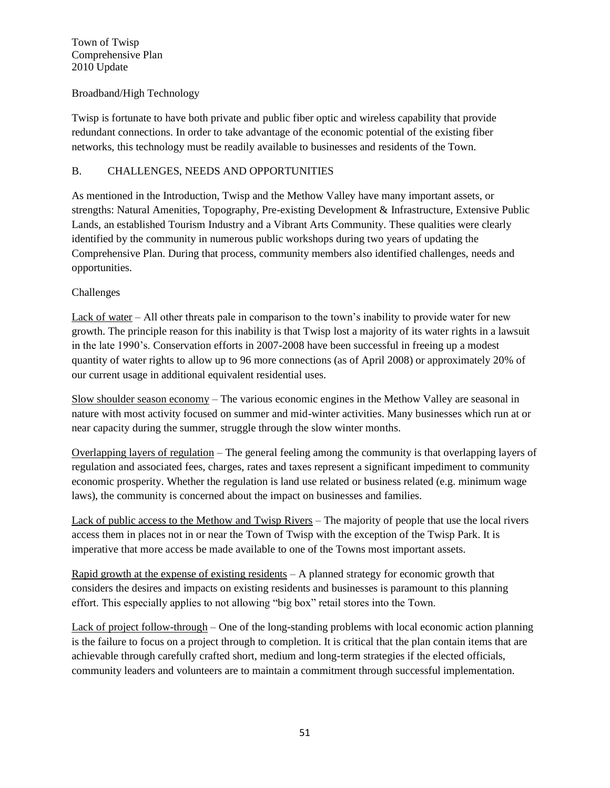## Broadband/High Technology

Twisp is fortunate to have both private and public fiber optic and wireless capability that provide redundant connections. In order to take advantage of the economic potential of the existing fiber networks, this technology must be readily available to businesses and residents of the Town.

## B. CHALLENGES, NEEDS AND OPPORTUNITIES

As mentioned in the Introduction, Twisp and the Methow Valley have many important assets, or strengths: Natural Amenities, Topography, Pre-existing Development & Infrastructure, Extensive Public Lands, an established Tourism Industry and a Vibrant Arts Community. These qualities were clearly identified by the community in numerous public workshops during two years of updating the Comprehensive Plan. During that process, community members also identified challenges, needs and opportunities.

## Challenges

Lack of water – All other threats pale in comparison to the town's inability to provide water for new growth. The principle reason for this inability is that Twisp lost a majority of its water rights in a lawsuit in the late 1990's. Conservation efforts in 2007-2008 have been successful in freeing up a modest quantity of water rights to allow up to 96 more connections (as of April 2008) or approximately 20% of our current usage in additional equivalent residential uses.

Slow shoulder season economy – The various economic engines in the Methow Valley are seasonal in nature with most activity focused on summer and mid-winter activities. Many businesses which run at or near capacity during the summer, struggle through the slow winter months.

Overlapping layers of regulation – The general feeling among the community is that overlapping layers of regulation and associated fees, charges, rates and taxes represent a significant impediment to community economic prosperity. Whether the regulation is land use related or business related (e.g. minimum wage laws), the community is concerned about the impact on businesses and families.

Lack of public access to the Methow and Twisp Rivers – The majority of people that use the local rivers access them in places not in or near the Town of Twisp with the exception of the Twisp Park. It is imperative that more access be made available to one of the Towns most important assets.

Rapid growth at the expense of existing residents  $- A$  planned strategy for economic growth that considers the desires and impacts on existing residents and businesses is paramount to this planning effort. This especially applies to not allowing "big box" retail stores into the Town.

Lack of project follow-through – One of the long-standing problems with local economic action planning is the failure to focus on a project through to completion. It is critical that the plan contain items that are achievable through carefully crafted short, medium and long-term strategies if the elected officials, community leaders and volunteers are to maintain a commitment through successful implementation.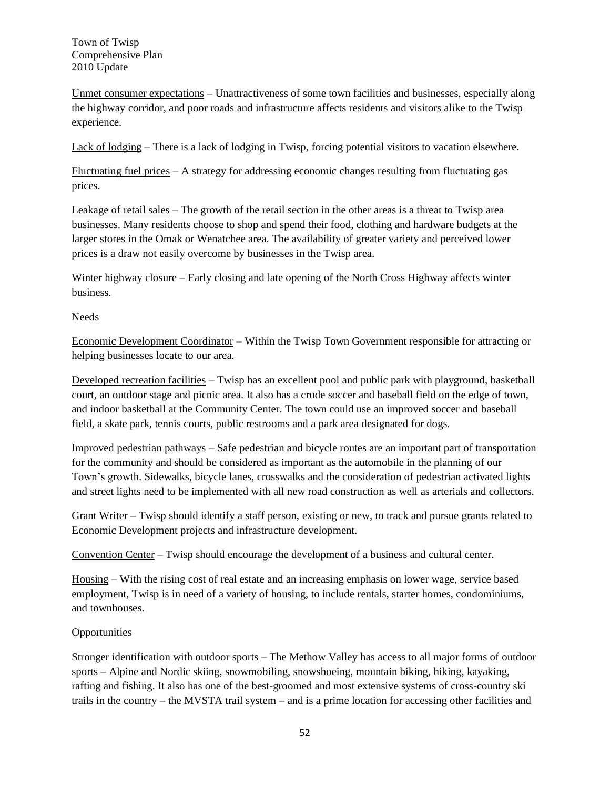Unmet consumer expectations – Unattractiveness of some town facilities and businesses, especially along the highway corridor, and poor roads and infrastructure affects residents and visitors alike to the Twisp experience.

Lack of lodging – There is a lack of lodging in Twisp, forcing potential visitors to vacation elsewhere.

Fluctuating fuel prices  $-A$  strategy for addressing economic changes resulting from fluctuating gas prices.

Leakage of retail sales – The growth of the retail section in the other areas is a threat to Twisp area businesses. Many residents choose to shop and spend their food, clothing and hardware budgets at the larger stores in the Omak or Wenatchee area. The availability of greater variety and perceived lower prices is a draw not easily overcome by businesses in the Twisp area.

Winter highway closure – Early closing and late opening of the North Cross Highway affects winter business.

Needs

Economic Development Coordinator – Within the Twisp Town Government responsible for attracting or helping businesses locate to our area.

Developed recreation facilities – Twisp has an excellent pool and public park with playground, basketball court, an outdoor stage and picnic area. It also has a crude soccer and baseball field on the edge of town, and indoor basketball at the Community Center. The town could use an improved soccer and baseball field, a skate park, tennis courts, public restrooms and a park area designated for dogs.

Improved pedestrian pathways – Safe pedestrian and bicycle routes are an important part of transportation for the community and should be considered as important as the automobile in the planning of our Town's growth. Sidewalks, bicycle lanes, crosswalks and the consideration of pedestrian activated lights and street lights need to be implemented with all new road construction as well as arterials and collectors.

Grant Writer – Twisp should identify a staff person, existing or new, to track and pursue grants related to Economic Development projects and infrastructure development.

Convention Center – Twisp should encourage the development of a business and cultural center.

Housing – With the rising cost of real estate and an increasing emphasis on lower wage, service based employment, Twisp is in need of a variety of housing, to include rentals, starter homes, condominiums, and townhouses.

**Opportunities** 

Stronger identification with outdoor sports – The Methow Valley has access to all major forms of outdoor sports – Alpine and Nordic skiing, snowmobiling, snowshoeing, mountain biking, hiking, kayaking, rafting and fishing. It also has one of the best-groomed and most extensive systems of cross-country ski trails in the country – the MVSTA trail system – and is a prime location for accessing other facilities and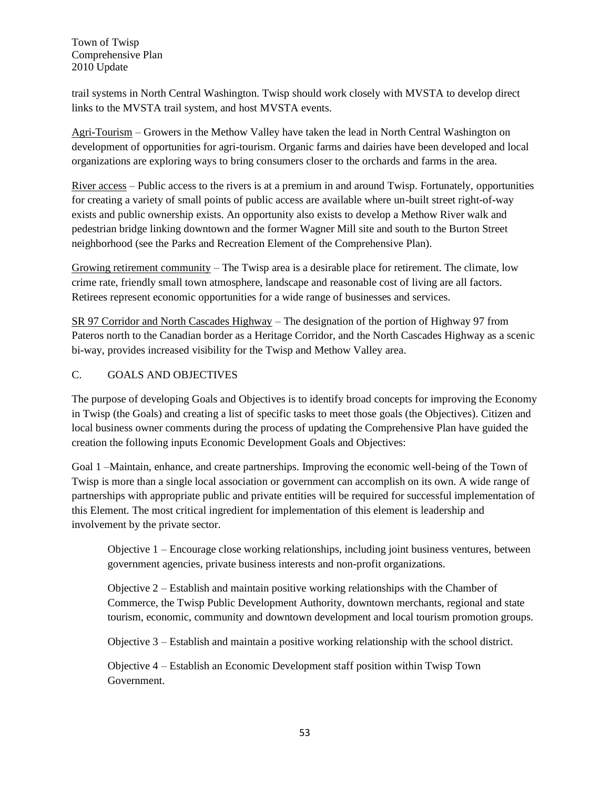trail systems in North Central Washington. Twisp should work closely with MVSTA to develop direct links to the MVSTA trail system, and host MVSTA events.

Agri-Tourism – Growers in the Methow Valley have taken the lead in North Central Washington on development of opportunities for agri-tourism. Organic farms and dairies have been developed and local organizations are exploring ways to bring consumers closer to the orchards and farms in the area.

River access – Public access to the rivers is at a premium in and around Twisp. Fortunately, opportunities for creating a variety of small points of public access are available where un-built street right-of-way exists and public ownership exists. An opportunity also exists to develop a Methow River walk and pedestrian bridge linking downtown and the former Wagner Mill site and south to the Burton Street neighborhood (see the Parks and Recreation Element of the Comprehensive Plan).

Growing retirement community – The Twisp area is a desirable place for retirement. The climate, low crime rate, friendly small town atmosphere, landscape and reasonable cost of living are all factors. Retirees represent economic opportunities for a wide range of businesses and services.

SR 97 Corridor and North Cascades Highway – The designation of the portion of Highway 97 from Pateros north to the Canadian border as a Heritage Corridor, and the North Cascades Highway as a scenic bi-way, provides increased visibility for the Twisp and Methow Valley area.

# C. GOALS AND OBJECTIVES

The purpose of developing Goals and Objectives is to identify broad concepts for improving the Economy in Twisp (the Goals) and creating a list of specific tasks to meet those goals (the Objectives). Citizen and local business owner comments during the process of updating the Comprehensive Plan have guided the creation the following inputs Economic Development Goals and Objectives:

Goal 1 –Maintain, enhance, and create partnerships. Improving the economic well-being of the Town of Twisp is more than a single local association or government can accomplish on its own. A wide range of partnerships with appropriate public and private entities will be required for successful implementation of this Element. The most critical ingredient for implementation of this element is leadership and involvement by the private sector.

Objective 1 – Encourage close working relationships, including joint business ventures, between government agencies, private business interests and non-profit organizations.

Objective 2 – Establish and maintain positive working relationships with the Chamber of Commerce, the Twisp Public Development Authority, downtown merchants, regional and state tourism, economic, community and downtown development and local tourism promotion groups.

Objective 3 – Establish and maintain a positive working relationship with the school district.

Objective 4 – Establish an Economic Development staff position within Twisp Town Government.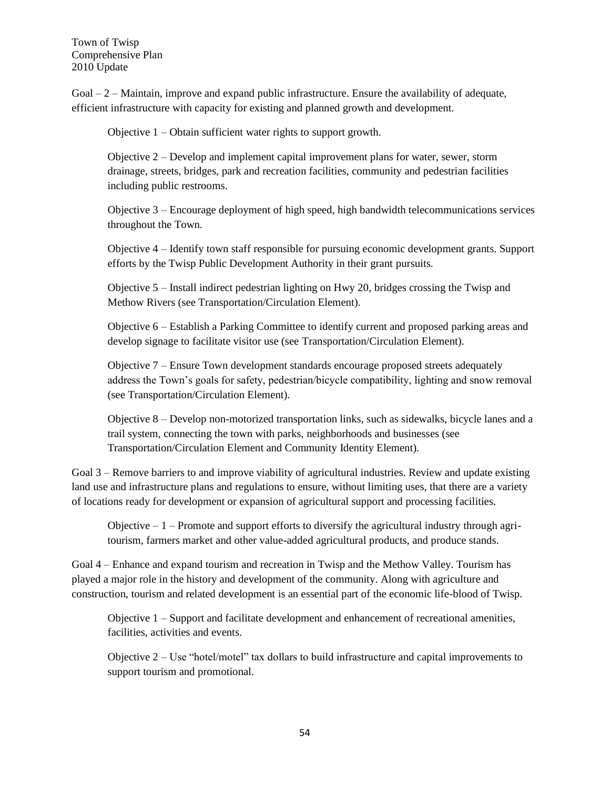$Goal - 2 - Maintenance$  improve and expand public infrastructure. Ensure the availability of adequate, efficient infrastructure with capacity for existing and planned growth and development.

Objective 1 – Obtain sufficient water rights to support growth.

Objective 2 – Develop and implement capital improvement plans for water, sewer, storm drainage, streets, bridges, park and recreation facilities, community and pedestrian facilities including public restrooms.

Objective 3 – Encourage deployment of high speed, high bandwidth telecommunications services throughout the Town.

Objective 4 – Identify town staff responsible for pursuing economic development grants. Support efforts by the Twisp Public Development Authority in their grant pursuits.

Objective 5 – Install indirect pedestrian lighting on Hwy 20, bridges crossing the Twisp and Methow Rivers (see Transportation/Circulation Element).

Objective 6 – Establish a Parking Committee to identify current and proposed parking areas and develop signage to facilitate visitor use (see Transportation/Circulation Element).

Objective 7 – Ensure Town development standards encourage proposed streets adequately address the Town's goals for safety, pedestrian/bicycle compatibility, lighting and snow removal (see Transportation/Circulation Element).

Objective 8 – Develop non-motorized transportation links, such as sidewalks, bicycle lanes and a trail system, connecting the town with parks, neighborhoods and businesses (see Transportation/Circulation Element and Community Identity Element).

Goal 3 – Remove barriers to and improve viability of agricultural industries. Review and update existing land use and infrastructure plans and regulations to ensure, without limiting uses, that there are a variety of locations ready for development or expansion of agricultural support and processing facilities.

Objective  $-1$  – Promote and support efforts to diversify the agricultural industry through agritourism, farmers market and other value-added agricultural products, and produce stands.

Goal 4 – Enhance and expand tourism and recreation in Twisp and the Methow Valley. Tourism has played a major role in the history and development of the community. Along with agriculture and construction, tourism and related development is an essential part of the economic life-blood of Twisp.

Objective 1 – Support and facilitate development and enhancement of recreational amenities, facilities, activities and events.

Objective 2 – Use "hotel/motel" tax dollars to build infrastructure and capital improvements to support tourism and promotional.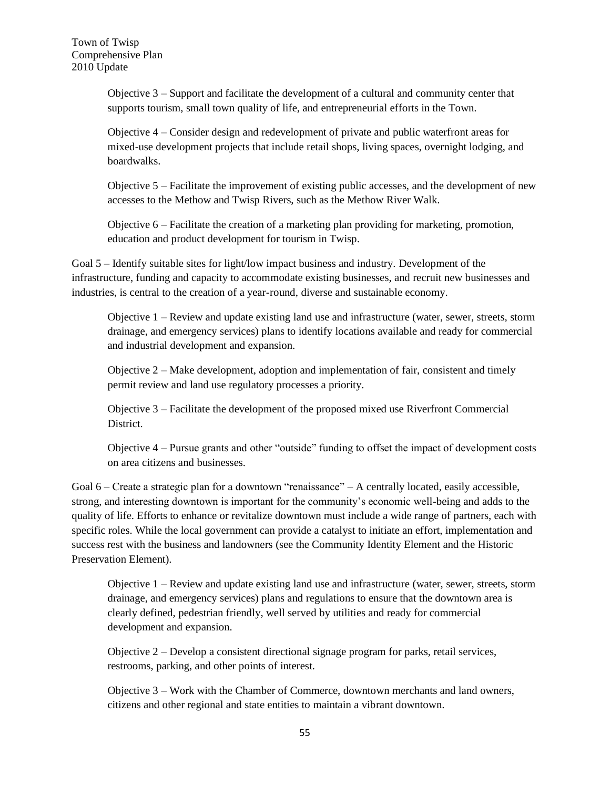Objective 3 – Support and facilitate the development of a cultural and community center that supports tourism, small town quality of life, and entrepreneurial efforts in the Town.

Objective 4 – Consider design and redevelopment of private and public waterfront areas for mixed-use development projects that include retail shops, living spaces, overnight lodging, and boardwalks.

Objective 5 – Facilitate the improvement of existing public accesses, and the development of new accesses to the Methow and Twisp Rivers, such as the Methow River Walk.

Objective 6 – Facilitate the creation of a marketing plan providing for marketing, promotion, education and product development for tourism in Twisp.

Goal 5 – Identify suitable sites for light/low impact business and industry. Development of the infrastructure, funding and capacity to accommodate existing businesses, and recruit new businesses and industries, is central to the creation of a year-round, diverse and sustainable economy.

Objective 1 – Review and update existing land use and infrastructure (water, sewer, streets, storm drainage, and emergency services) plans to identify locations available and ready for commercial and industrial development and expansion.

Objective 2 – Make development, adoption and implementation of fair, consistent and timely permit review and land use regulatory processes a priority.

Objective 3 – Facilitate the development of the proposed mixed use Riverfront Commercial District.

Objective 4 – Pursue grants and other "outside" funding to offset the impact of development costs on area citizens and businesses.

Goal 6 – Create a strategic plan for a downtown "renaissance" – A centrally located, easily accessible, strong, and interesting downtown is important for the community's economic well-being and adds to the quality of life. Efforts to enhance or revitalize downtown must include a wide range of partners, each with specific roles. While the local government can provide a catalyst to initiate an effort, implementation and success rest with the business and landowners (see the Community Identity Element and the Historic Preservation Element).

Objective 1 – Review and update existing land use and infrastructure (water, sewer, streets, storm drainage, and emergency services) plans and regulations to ensure that the downtown area is clearly defined, pedestrian friendly, well served by utilities and ready for commercial development and expansion.

Objective 2 – Develop a consistent directional signage program for parks, retail services, restrooms, parking, and other points of interest.

Objective 3 – Work with the Chamber of Commerce, downtown merchants and land owners, citizens and other regional and state entities to maintain a vibrant downtown.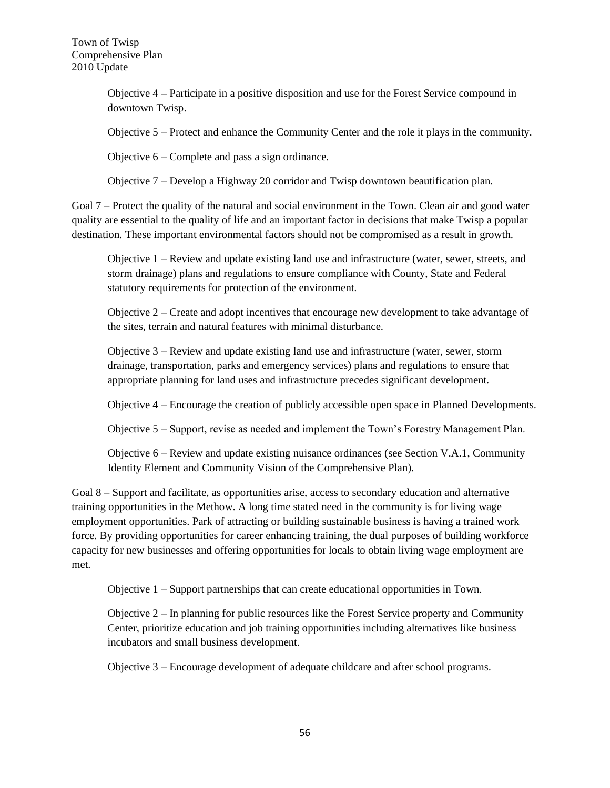Objective 4 – Participate in a positive disposition and use for the Forest Service compound in downtown Twisp.

Objective 5 – Protect and enhance the Community Center and the role it plays in the community.

Objective 6 – Complete and pass a sign ordinance.

Objective 7 – Develop a Highway 20 corridor and Twisp downtown beautification plan.

Goal 7 – Protect the quality of the natural and social environment in the Town. Clean air and good water quality are essential to the quality of life and an important factor in decisions that make Twisp a popular destination. These important environmental factors should not be compromised as a result in growth.

Objective 1 – Review and update existing land use and infrastructure (water, sewer, streets, and storm drainage) plans and regulations to ensure compliance with County, State and Federal statutory requirements for protection of the environment.

Objective 2 – Create and adopt incentives that encourage new development to take advantage of the sites, terrain and natural features with minimal disturbance.

Objective 3 – Review and update existing land use and infrastructure (water, sewer, storm drainage, transportation, parks and emergency services) plans and regulations to ensure that appropriate planning for land uses and infrastructure precedes significant development.

Objective 4 – Encourage the creation of publicly accessible open space in Planned Developments.

Objective 5 – Support, revise as needed and implement the Town's Forestry Management Plan.

Objective 6 – Review and update existing nuisance ordinances (see Section V.A.1, Community Identity Element and Community Vision of the Comprehensive Plan).

Goal 8 – Support and facilitate, as opportunities arise, access to secondary education and alternative training opportunities in the Methow. A long time stated need in the community is for living wage employment opportunities. Park of attracting or building sustainable business is having a trained work force. By providing opportunities for career enhancing training, the dual purposes of building workforce capacity for new businesses and offering opportunities for locals to obtain living wage employment are met.

Objective 1 – Support partnerships that can create educational opportunities in Town.

Objective 2 – In planning for public resources like the Forest Service property and Community Center, prioritize education and job training opportunities including alternatives like business incubators and small business development.

Objective 3 – Encourage development of adequate childcare and after school programs.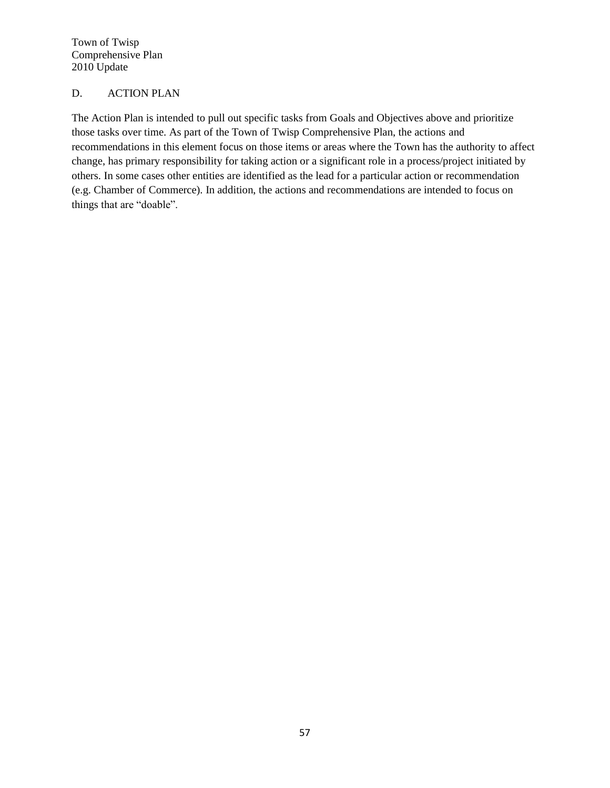## D. ACTION PLAN

The Action Plan is intended to pull out specific tasks from Goals and Objectives above and prioritize those tasks over time. As part of the Town of Twisp Comprehensive Plan, the actions and recommendations in this element focus on those items or areas where the Town has the authority to affect change, has primary responsibility for taking action or a significant role in a process/project initiated by others. In some cases other entities are identified as the lead for a particular action or recommendation (e.g. Chamber of Commerce). In addition, the actions and recommendations are intended to focus on things that are "doable".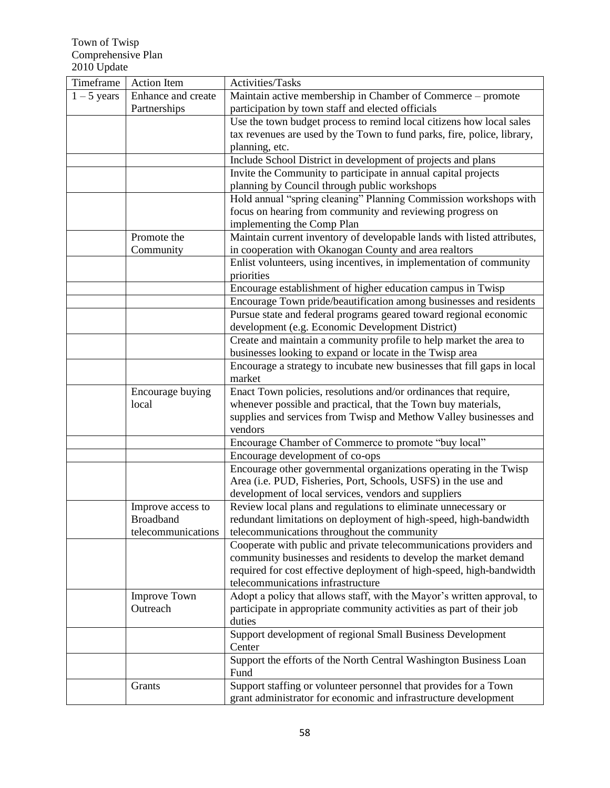| Timeframe     | <b>Action</b> Item | Activities/Tasks                                                                  |
|---------------|--------------------|-----------------------------------------------------------------------------------|
| $1 - 5$ years | Enhance and create | Maintain active membership in Chamber of Commerce – promote                       |
|               | Partnerships       | participation by town staff and elected officials                                 |
|               |                    | Use the town budget process to remind local citizens how local sales              |
|               |                    | tax revenues are used by the Town to fund parks, fire, police, library,           |
|               |                    | planning, etc.                                                                    |
|               |                    | Include School District in development of projects and plans                      |
|               |                    | Invite the Community to participate in annual capital projects                    |
|               |                    | planning by Council through public workshops                                      |
|               |                    | Hold annual "spring cleaning" Planning Commission workshops with                  |
|               |                    | focus on hearing from community and reviewing progress on                         |
|               |                    | implementing the Comp Plan                                                        |
|               | Promote the        | Maintain current inventory of developable lands with listed attributes,           |
|               | Community          | in cooperation with Okanogan County and area realtors                             |
|               |                    | Enlist volunteers, using incentives, in implementation of community<br>priorities |
|               |                    | Encourage establishment of higher education campus in Twisp                       |
|               |                    | Encourage Town pride/beautification among businesses and residents                |
|               |                    | Pursue state and federal programs geared toward regional economic                 |
|               |                    | development (e.g. Economic Development District)                                  |
|               |                    | Create and maintain a community profile to help market the area to                |
|               |                    | businesses looking to expand or locate in the Twisp area                          |
|               |                    | Encourage a strategy to incubate new businesses that fill gaps in local           |
|               |                    | market                                                                            |
|               | Encourage buying   | Enact Town policies, resolutions and/or ordinances that require,                  |
|               | local              | whenever possible and practical, that the Town buy materials,                     |
|               |                    | supplies and services from Twisp and Methow Valley businesses and                 |
|               |                    | vendors                                                                           |
|               |                    | Encourage Chamber of Commerce to promote "buy local"                              |
|               |                    | Encourage development of co-ops                                                   |
|               |                    | Encourage other governmental organizations operating in the Twisp                 |
|               |                    | Area (i.e. PUD, Fisheries, Port, Schools, USFS) in the use and                    |
|               |                    | development of local services, vendors and suppliers                              |
|               | Improve access to  | Review local plans and regulations to eliminate unnecessary or                    |
|               | <b>Broadband</b>   | redundant limitations on deployment of high-speed, high-bandwidth                 |
|               | telecommunications | telecommunications throughout the community                                       |
|               |                    | Cooperate with public and private telecommunications providers and                |
|               |                    | community businesses and residents to develop the market demand                   |
|               |                    | required for cost effective deployment of high-speed, high-bandwidth              |
|               |                    | telecommunications infrastructure                                                 |
|               | Improve Town       | Adopt a policy that allows staff, with the Mayor's written approval, to           |
|               | Outreach           | participate in appropriate community activities as part of their job<br>duties    |
|               |                    | Support development of regional Small Business Development                        |
|               |                    | Center                                                                            |
|               |                    | Support the efforts of the North Central Washington Business Loan<br>Fund         |
|               | Grants             | Support staffing or volunteer personnel that provides for a Town                  |
|               |                    | grant administrator for economic and infrastructure development                   |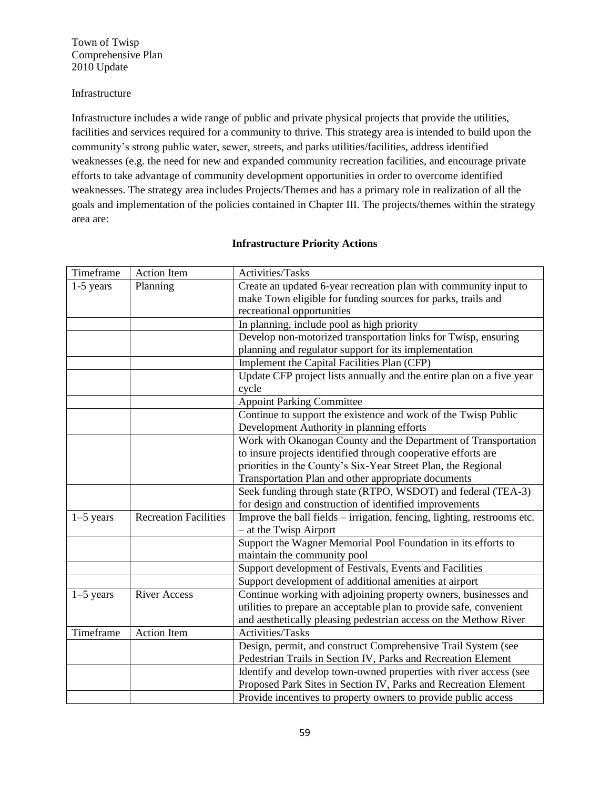### Infrastructure

Infrastructure includes a wide range of public and private physical projects that provide the utilities, facilities and services required for a community to thrive. This strategy area is intended to build upon the community's strong public water, sewer, streets, and parks utilities/facilities, address identified weaknesses (e.g. the need for new and expanded community recreation facilities, and encourage private efforts to take advantage of community development opportunities in order to overcome identified weaknesses. The strategy area includes Projects/Themes and has a primary role in realization of all the goals and implementation of the policies contained in Chapter III. The projects/themes within the strategy area are:

| Timeframe   | Action Item                  | Activities/Tasks                                                        |
|-------------|------------------------------|-------------------------------------------------------------------------|
| $1-5$ years | Planning                     | Create an updated 6-year recreation plan with community input to        |
|             |                              | make Town eligible for funding sources for parks, trails and            |
|             |                              | recreational opportunities                                              |
|             |                              | In planning, include pool as high priority                              |
|             |                              | Develop non-motorized transportation links for Twisp, ensuring          |
|             |                              | planning and regulator support for its implementation                   |
|             |                              | Implement the Capital Facilities Plan (CFP)                             |
|             |                              | Update CFP project lists annually and the entire plan on a five year    |
|             |                              | cycle                                                                   |
|             |                              | <b>Appoint Parking Committee</b>                                        |
|             |                              | Continue to support the existence and work of the Twisp Public          |
|             |                              | Development Authority in planning efforts                               |
|             |                              | Work with Okanogan County and the Department of Transportation          |
|             |                              | to insure projects identified through cooperative efforts are           |
|             |                              | priorities in the County's Six-Year Street Plan, the Regional           |
|             |                              | Transportation Plan and other appropriate documents                     |
|             |                              | Seek funding through state (RTPO, WSDOT) and federal (TEA-3)            |
|             |                              | for design and construction of identified improvements                  |
| $1-5$ years | <b>Recreation Facilities</b> | Improve the ball fields – irrigation, fencing, lighting, restrooms etc. |
|             |                              | $-$ at the Twisp Airport                                                |
|             |                              | Support the Wagner Memorial Pool Foundation in its efforts to           |
|             |                              | maintain the community pool                                             |
|             |                              | Support development of Festivals, Events and Facilities                 |
|             |                              | Support development of additional amenities at airport                  |
| $1-5$ years | <b>River Access</b>          | Continue working with adjoining property owners, businesses and         |
|             |                              | utilities to prepare an acceptable plan to provide safe, convenient     |
|             |                              | and aesthetically pleasing pedestrian access on the Methow River        |
| Timeframe   | <b>Action Item</b>           | Activities/Tasks                                                        |
|             |                              | Design, permit, and construct Comprehensive Trail System (see           |
|             |                              | Pedestrian Trails in Section IV, Parks and Recreation Element           |
|             |                              | Identify and develop town-owned properties with river access (see       |
|             |                              | Proposed Park Sites in Section IV, Parks and Recreation Element         |
|             |                              | Provide incentives to property owners to provide public access          |

## **Infrastructure Priority Actions**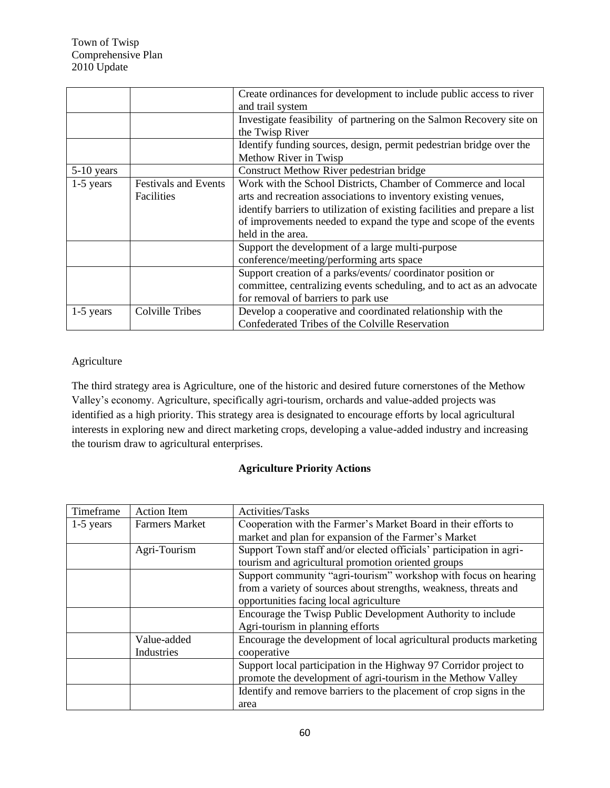|             |                             | Create ordinances for development to include public access to river        |
|-------------|-----------------------------|----------------------------------------------------------------------------|
|             |                             | and trail system                                                           |
|             |                             | Investigate feasibility of partnering on the Salmon Recovery site on       |
|             |                             | the Twisp River                                                            |
|             |                             | Identify funding sources, design, permit pedestrian bridge over the        |
|             |                             | Methow River in Twisp                                                      |
| 5-10 years  |                             | Construct Methow River pedestrian bridge                                   |
| $1-5$ years | <b>Festivals and Events</b> | Work with the School Districts, Chamber of Commerce and local              |
|             | Facilities                  | arts and recreation associations to inventory existing venues,             |
|             |                             | identify barriers to utilization of existing facilities and prepare a list |
|             |                             | of improvements needed to expand the type and scope of the events          |
|             |                             | held in the area.                                                          |
|             |                             | Support the development of a large multi-purpose                           |
|             |                             | conference/meeting/performing arts space                                   |
|             |                             | Support creation of a parks/events/coordinator position or                 |
|             |                             | committee, centralizing events scheduling, and to act as an advocate       |
|             |                             | for removal of barriers to park use                                        |
| $1-5$ years | Colville Tribes             | Develop a cooperative and coordinated relationship with the                |
|             |                             | Confederated Tribes of the Colville Reservation                            |

# Agriculture

The third strategy area is Agriculture, one of the historic and desired future cornerstones of the Methow Valley's economy. Agriculture, specifically agri-tourism, orchards and value-added projects was identified as a high priority. This strategy area is designated to encourage efforts by local agricultural interests in exploring new and direct marketing crops, developing a value-added industry and increasing the tourism draw to agricultural enterprises.

## **Agriculture Priority Actions**

| Timeframe   | <b>Action Item</b>    | Activities/Tasks                                                    |
|-------------|-----------------------|---------------------------------------------------------------------|
| $1-5$ years | <b>Farmers Market</b> | Cooperation with the Farmer's Market Board in their efforts to      |
|             |                       | market and plan for expansion of the Farmer's Market                |
|             | Agri-Tourism          | Support Town staff and/or elected officials' participation in agri- |
|             |                       | tourism and agricultural promotion oriented groups                  |
|             |                       | Support community "agri-tourism" workshop with focus on hearing     |
|             |                       | from a variety of sources about strengths, weakness, threats and    |
|             |                       | opportunities facing local agriculture                              |
|             |                       | Encourage the Twisp Public Development Authority to include         |
|             |                       | Agri-tourism in planning efforts                                    |
|             | Value-added           | Encourage the development of local agricultural products marketing  |
|             | Industries            | cooperative                                                         |
|             |                       | Support local participation in the Highway 97 Corridor project to   |
|             |                       | promote the development of agri-tourism in the Methow Valley        |
|             |                       | Identify and remove barriers to the placement of crop signs in the  |
|             |                       | area                                                                |